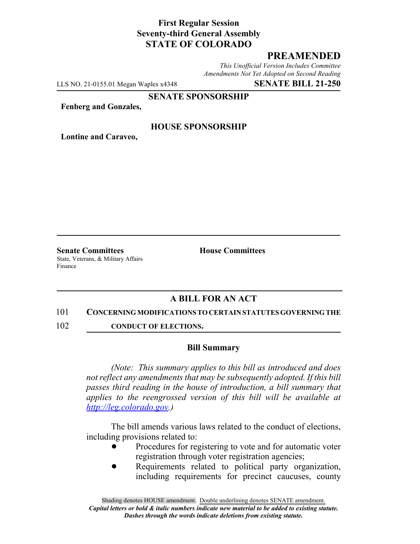## **First Regular Session Seventy-third General Assembly STATE OF COLORADO**

# **PREAMENDED**

*This Unofficial Version Includes Committee Amendments Not Yet Adopted on Second Reading*

LLS NO. 21-0155.01 Megan Waples x4348 **SENATE BILL 21-250**

### **SENATE SPONSORSHIP**

**Fenberg and Gonzales,**

### **HOUSE SPONSORSHIP**

**Lontine and Caraveo,**

**Senate Committees House Committees** State, Veterans, & Military Affairs Finance

## **A BILL FOR AN ACT**

#### 101 **CONCERNING MODIFICATIONS TO CERTAIN STATUTES GOVERNING THE**

102 **CONDUCT OF ELECTIONS.** 

### **Bill Summary**

*(Note: This summary applies to this bill as introduced and does not reflect any amendments that may be subsequently adopted. If this bill passes third reading in the house of introduction, a bill summary that applies to the reengrossed version of this bill will be available at http://leg.colorado.gov.)*

The bill amends various laws related to the conduct of elections, including provisions related to:

- Procedures for registering to vote and for automatic voter registration through voter registration agencies;
- Requirements related to political party organization, including requirements for precinct caucuses, county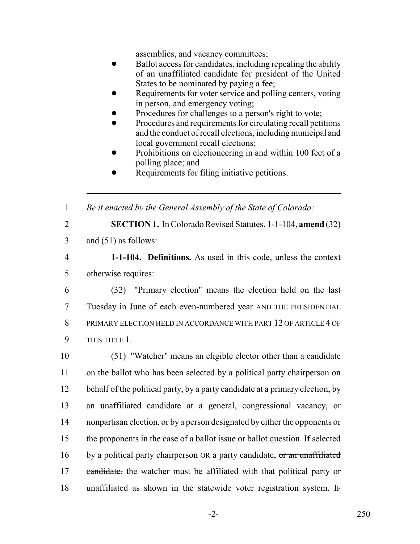assemblies, and vacancy committees;

- Ballot access for candidates, including repealing the ability of an unaffiliated candidate for president of the United States to be nominated by paying a fee;
- Requirements for voter service and polling centers, voting in person, and emergency voting;
- Procedures for challenges to a person's right to vote;
- ! Procedures and requirements for circulating recall petitions and the conduct of recall elections, including municipal and local government recall elections;
- Prohibitions on electioneering in and within 100 feet of a polling place; and
- Requirements for filing initiative petitions.

1 *Be it enacted by the General Assembly of the State of Colorado:*

2 **SECTION 1.** In Colorado Revised Statutes, 1-1-104, **amend** (32)

3 and (51) as follows:

4 **1-1-104. Definitions.** As used in this code, unless the context 5 otherwise requires:

 (32) "Primary election" means the election held on the last Tuesday in June of each even-numbered year AND THE PRESIDENTIAL PRIMARY ELECTION HELD IN ACCORDANCE WITH PART 12 OF ARTICLE 4 OF THIS TITLE 1.

 (51) "Watcher" means an eligible elector other than a candidate on the ballot who has been selected by a political party chairperson on 12 behalf of the political party, by a party candidate at a primary election, by an unaffiliated candidate at a general, congressional vacancy, or nonpartisan election, or by a person designated by either the opponents or the proponents in the case of a ballot issue or ballot question. If selected 16 by a political party chairperson OR a party candidate, or an unaffiliated 17 candidate, the watcher must be affiliated with that political party or unaffiliated as shown in the statewide voter registration system. IF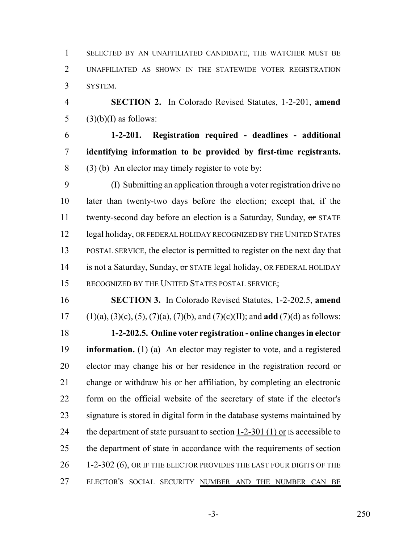SELECTED BY AN UNAFFILIATED CANDIDATE, THE WATCHER MUST BE UNAFFILIATED AS SHOWN IN THE STATEWIDE VOTER REGISTRATION SYSTEM.

 **SECTION 2.** In Colorado Revised Statutes, 1-2-201, **amend** 5  $(3)(b)(I)$  as follows:

 **1-2-201. Registration required - deadlines - additional identifying information to be provided by first-time registrants.** (3) (b) An elector may timely register to vote by:

 (I) Submitting an application through a voter registration drive no later than twenty-two days before the election; except that, if the 11 twenty-second day before an election is a Saturday, Sunday, or STATE 12 legal holiday, OR FEDERAL HOLIDAY RECOGNIZED BY THE UNITED STATES POSTAL SERVICE, the elector is permitted to register on the next day that 14 is not a Saturday, Sunday, or STATE legal holiday, OR FEDERAL HOLIDAY RECOGNIZED BY THE UNITED STATES POSTAL SERVICE;

 **SECTION 3.** In Colorado Revised Statutes, 1-2-202.5, **amend** (1)(a), (3)(c), (5), (7)(a), (7)(b), and (7)(c)(II); and **add** (7)(d) as follows: **1-2-202.5. Online voter registration - online changes in elector information.** (1) (a) An elector may register to vote, and a registered elector may change his or her residence in the registration record or change or withdraw his or her affiliation, by completing an electronic form on the official website of the secretary of state if the elector's signature is stored in digital form in the database systems maintained by 24 the department of state pursuant to section  $1-2-301$  (1) or IS accessible to 25 the department of state in accordance with the requirements of section 26 1-2-302 (6), OR IF THE ELECTOR PROVIDES THE LAST FOUR DIGITS OF THE 27 ELECTOR'S SOCIAL SECURITY NUMBER AND THE NUMBER CAN BE

-3- 250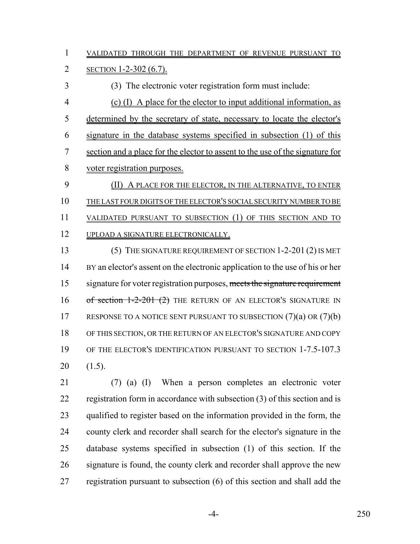VALIDATED THROUGH THE DEPARTMENT OF REVENUE PURSUANT TO

SECTION 1-2-302 (6.7).

(3) The electronic voter registration form must include:

 (c) (I) A place for the elector to input additional information, as determined by the secretary of state, necessary to locate the elector's signature in the database systems specified in subsection (1) of this section and a place for the elector to assent to the use of the signature for voter registration purposes.

 (II) A PLACE FOR THE ELECTOR, IN THE ALTERNATIVE, TO ENTER THE LAST FOUR DIGITS OF THE ELECTOR'S SOCIAL SECURITY NUMBER TO BE VALIDATED PURSUANT TO SUBSECTION (1) OF THIS SECTION AND TO 12 UPLOAD A SIGNATURE ELECTRONICALLY.

 (5) THE SIGNATURE REQUIREMENT OF SECTION 1-2-201 (2) IS MET BY an elector's assent on the electronic application to the use of his or her 15 signature for voter registration purposes, meets the signature requirement 16 of section 1-2-201 (2) THE RETURN OF AN ELECTOR'S SIGNATURE IN 17 RESPONSE TO A NOTICE SENT PURSUANT TO SUBSECTION (7)(a) OR (7)(b) OF THIS SECTION, OR THE RETURN OF AN ELECTOR'S SIGNATURE AND COPY OF THE ELECTOR'S IDENTIFICATION PURSUANT TO SECTION 1-7.5-107.3 (1.5).

 (7) (a) (I) When a person completes an electronic voter registration form in accordance with subsection (3) of this section and is qualified to register based on the information provided in the form, the county clerk and recorder shall search for the elector's signature in the database systems specified in subsection (1) of this section. If the 26 signature is found, the county clerk and recorder shall approve the new registration pursuant to subsection (6) of this section and shall add the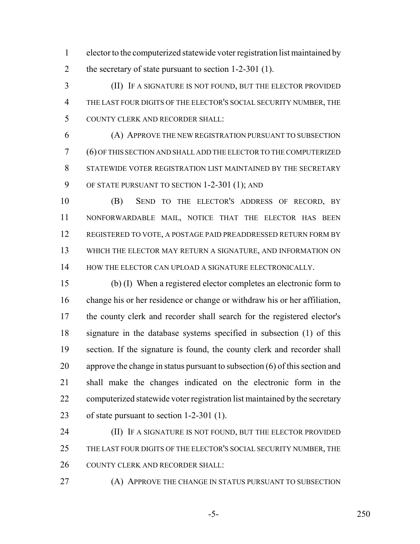elector to the computerized statewide voter registration list maintained by 2 the secretary of state pursuant to section 1-2-301 (1).

 (II) IF A SIGNATURE IS NOT FOUND, BUT THE ELECTOR PROVIDED THE LAST FOUR DIGITS OF THE ELECTOR'S SOCIAL SECURITY NUMBER, THE COUNTY CLERK AND RECORDER SHALL:

 (A) APPROVE THE NEW REGISTRATION PURSUANT TO SUBSECTION (6) OF THIS SECTION AND SHALL ADD THE ELECTOR TO THE COMPUTERIZED STATEWIDE VOTER REGISTRATION LIST MAINTAINED BY THE SECRETARY OF STATE PURSUANT TO SECTION 1-2-301 (1); AND

 (B) SEND TO THE ELECTOR'S ADDRESS OF RECORD, BY NONFORWARDABLE MAIL, NOTICE THAT THE ELECTOR HAS BEEN REGISTERED TO VOTE, A POSTAGE PAID PREADDRESSED RETURN FORM BY WHICH THE ELECTOR MAY RETURN A SIGNATURE, AND INFORMATION ON 14 HOW THE ELECTOR CAN UPLOAD A SIGNATURE ELECTRONICALLY.

 (b) (I) When a registered elector completes an electronic form to change his or her residence or change or withdraw his or her affiliation, the county clerk and recorder shall search for the registered elector's signature in the database systems specified in subsection (1) of this section. If the signature is found, the county clerk and recorder shall approve the change in status pursuant to subsection (6) of this section and shall make the changes indicated on the electronic form in the computerized statewide voter registration list maintained by the secretary of state pursuant to section 1-2-301 (1).

**(II)** IF A SIGNATURE IS NOT FOUND, BUT THE ELECTOR PROVIDED 25 THE LAST FOUR DIGITS OF THE ELECTOR'S SOCIAL SECURITY NUMBER, THE 26 COUNTY CLERK AND RECORDER SHALL:

**(A) APPROVE THE CHANGE IN STATUS PURSUANT TO SUBSECTION** 

-5- 250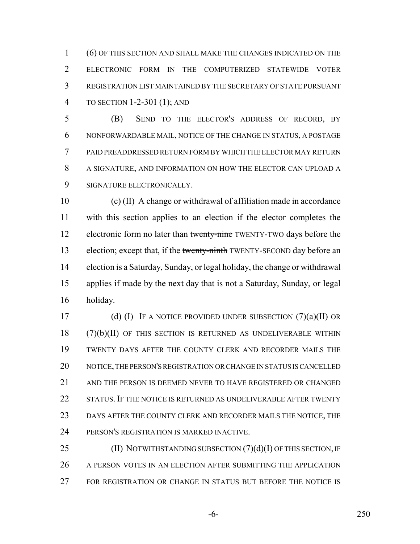(6) OF THIS SECTION AND SHALL MAKE THE CHANGES INDICATED ON THE ELECTRONIC FORM IN THE COMPUTERIZED STATEWIDE VOTER REGISTRATION LIST MAINTAINED BY THE SECRETARY OF STATE PURSUANT TO SECTION 1-2-301 (1); AND

 (B) SEND TO THE ELECTOR'S ADDRESS OF RECORD, BY NONFORWARDABLE MAIL, NOTICE OF THE CHANGE IN STATUS, A POSTAGE PAID PREADDRESSED RETURN FORM BY WHICH THE ELECTOR MAY RETURN A SIGNATURE, AND INFORMATION ON HOW THE ELECTOR CAN UPLOAD A SIGNATURE ELECTRONICALLY.

 (c) (II) A change or withdrawal of affiliation made in accordance with this section applies to an election if the elector completes the 12 electronic form no later than twenty-nine TWENTY-TWO days before the 13 election; except that, if the twenty-ninth TWENTY-SECOND day before an election is a Saturday, Sunday, or legal holiday, the change or withdrawal applies if made by the next day that is not a Saturday, Sunday, or legal holiday.

17 (d) (I) IF A NOTICE PROVIDED UNDER SUBSECTION  $(7)(a)(II)$  OR (7)(b)(II) OF THIS SECTION IS RETURNED AS UNDELIVERABLE WITHIN TWENTY DAYS AFTER THE COUNTY CLERK AND RECORDER MAILS THE NOTICE, THE PERSON'S REGISTRATION OR CHANGE IN STATUS IS CANCELLED 21 AND THE PERSON IS DEEMED NEVER TO HAVE REGISTERED OR CHANGED 22 STATUS. IF THE NOTICE IS RETURNED AS UNDELIVERABLE AFTER TWENTY DAYS AFTER THE COUNTY CLERK AND RECORDER MAILS THE NOTICE, THE PERSON'S REGISTRATION IS MARKED INACTIVE.

25 (II) NOTWITHSTANDING SUBSECTION (7)(d)(I) OF THIS SECTION, IF 26 A PERSON VOTES IN AN ELECTION AFTER SUBMITTING THE APPLICATION FOR REGISTRATION OR CHANGE IN STATUS BUT BEFORE THE NOTICE IS

-6- 250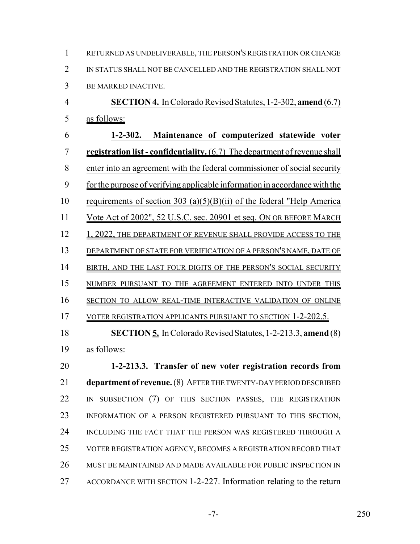RETURNED AS UNDELIVERABLE, THE PERSON'S REGISTRATION OR CHANGE IN STATUS SHALL NOT BE CANCELLED AND THE REGISTRATION SHALL NOT BE MARKED INACTIVE.

 **SECTION 4.** In Colorado Revised Statutes, 1-2-302, **amend** (6.7) as follows:

 **1-2-302. Maintenance of computerized statewide voter registration list - confidentiality.** (6.7) The department of revenue shall enter into an agreement with the federal commissioner of social security for the purpose of verifying applicable information in accordance with the requirements of section 303 (a)(5)(B)(ii) of the federal "Help America Vote Act of 2002", 52 U.S.C. sec. 20901 et seq. ON OR BEFORE MARCH 12 1, 2022, THE DEPARTMENT OF REVENUE SHALL PROVIDE ACCESS TO THE DEPARTMENT OF STATE FOR VERIFICATION OF A PERSON'S NAME, DATE OF 14 BIRTH, AND THE LAST FOUR DIGITS OF THE PERSON'S SOCIAL SECURITY NUMBER PURSUANT TO THE AGREEMENT ENTERED INTO UNDER THIS SECTION TO ALLOW REAL-TIME INTERACTIVE VALIDATION OF ONLINE 17 VOTER REGISTRATION APPLICANTS PURSUANT TO SECTION 1-2-202.5.

 **SECTION 5.** In Colorado Revised Statutes, 1-2-213.3, **amend** (8) as follows:

 **1-2-213.3. Transfer of new voter registration records from department of revenue.** (8) AFTER THE TWENTY-DAY PERIOD DESCRIBED 22 IN SUBSECTION (7) OF THIS SECTION PASSES, THE REGISTRATION INFORMATION OF A PERSON REGISTERED PURSUANT TO THIS SECTION, INCLUDING THE FACT THAT THE PERSON WAS REGISTERED THROUGH A VOTER REGISTRATION AGENCY, BECOMES A REGISTRATION RECORD THAT MUST BE MAINTAINED AND MADE AVAILABLE FOR PUBLIC INSPECTION IN ACCORDANCE WITH SECTION 1-2-227. Information relating to the return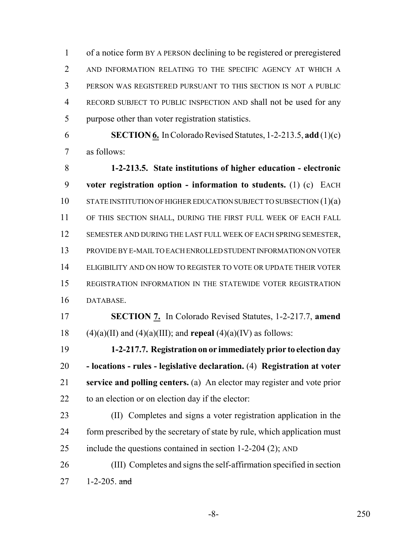of a notice form BY A PERSON declining to be registered or preregistered AND INFORMATION RELATING TO THE SPECIFIC AGENCY AT WHICH A PERSON WAS REGISTERED PURSUANT TO THIS SECTION IS NOT A PUBLIC RECORD SUBJECT TO PUBLIC INSPECTION AND shall not be used for any purpose other than voter registration statistics.

 **SECTION 6.** In Colorado Revised Statutes, 1-2-213.5, **add** (1)(c) as follows:

 **1-2-213.5. State institutions of higher education - electronic voter registration option - information to students.** (1) (c) EACH 10 STATE INSTITUTION OF HIGHER EDUCATION SUBJECT TO SUBSECTION (1)(a) OF THIS SECTION SHALL, DURING THE FIRST FULL WEEK OF EACH FALL SEMESTER AND DURING THE LAST FULL WEEK OF EACH SPRING SEMESTER, PROVIDE BY E-MAIL TO EACH ENROLLED STUDENT INFORMATION ON VOTER ELIGIBILITY AND ON HOW TO REGISTER TO VOTE OR UPDATE THEIR VOTER REGISTRATION INFORMATION IN THE STATEWIDE VOTER REGISTRATION DATABASE.

 **SECTION 7.** In Colorado Revised Statutes, 1-2-217.7, **amend** 18 (4)(a)(II) and (4)(a)(III); and **repeal** (4)(a)(IV) as follows:

 **1-2-217.7. Registration on or immediately prior to election day - locations - rules - legislative declaration.** (4) **Registration at voter service and polling centers.** (a) An elector may register and vote prior to an election or on election day if the elector:

 (II) Completes and signs a voter registration application in the 24 form prescribed by the secretary of state by rule, which application must include the questions contained in section 1-2-204 (2); AND

 (III) Completes and signs the self-affirmation specified in section  $27 \t 1-2-205$ . and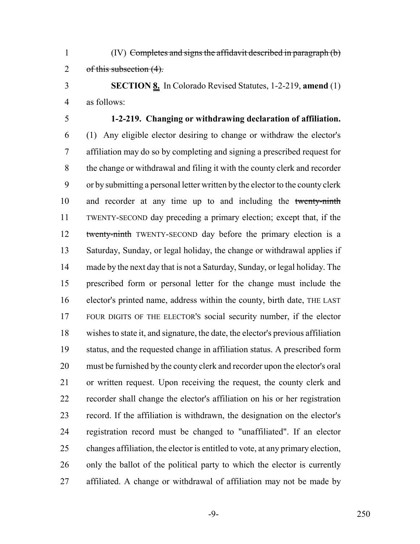(IV) Completes and signs the affidavit described in paragraph (b) 2 of this subsection (4).

 **SECTION 8.** In Colorado Revised Statutes, 1-2-219, **amend** (1) as follows:

# **1-2-219. Changing or withdrawing declaration of affiliation.**

 (1) Any eligible elector desiring to change or withdraw the elector's affiliation may do so by completing and signing a prescribed request for the change or withdrawal and filing it with the county clerk and recorder or by submitting a personal letter written by the elector to the county clerk and recorder at any time up to and including the twenty-ninth TWENTY-SECOND day preceding a primary election; except that, if the 12 twenty-ninth TWENTY-SECOND day before the primary election is a Saturday, Sunday, or legal holiday, the change or withdrawal applies if made by the next day that is not a Saturday, Sunday, or legal holiday. The prescribed form or personal letter for the change must include the elector's printed name, address within the county, birth date, THE LAST FOUR DIGITS OF THE ELECTOR'S social security number, if the elector wishes to state it, and signature, the date, the elector's previous affiliation status, and the requested change in affiliation status. A prescribed form must be furnished by the county clerk and recorder upon the elector's oral or written request. Upon receiving the request, the county clerk and recorder shall change the elector's affiliation on his or her registration record. If the affiliation is withdrawn, the designation on the elector's registration record must be changed to "unaffiliated". If an elector changes affiliation, the elector is entitled to vote, at any primary election, 26 only the ballot of the political party to which the elector is currently affiliated. A change or withdrawal of affiliation may not be made by

-9- 250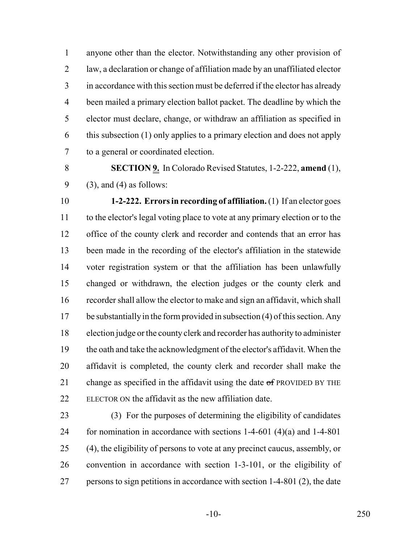anyone other than the elector. Notwithstanding any other provision of law, a declaration or change of affiliation made by an unaffiliated elector in accordance with this section must be deferred if the elector has already been mailed a primary election ballot packet. The deadline by which the elector must declare, change, or withdraw an affiliation as specified in this subsection (1) only applies to a primary election and does not apply to a general or coordinated election.

 **SECTION 9.** In Colorado Revised Statutes, 1-2-222, **amend** (1), (3), and (4) as follows:

 **1-2-222. Errors in recording of affiliation.** (1) If an elector goes to the elector's legal voting place to vote at any primary election or to the 12 office of the county clerk and recorder and contends that an error has been made in the recording of the elector's affiliation in the statewide voter registration system or that the affiliation has been unlawfully changed or withdrawn, the election judges or the county clerk and recorder shall allow the elector to make and sign an affidavit, which shall be substantially in the form provided in subsection (4) of this section. Any election judge or the county clerk and recorder has authority to administer the oath and take the acknowledgment of the elector's affidavit. When the affidavit is completed, the county clerk and recorder shall make the 21 change as specified in the affidavit using the date  $\sigma$  PROVIDED BY THE ELECTOR ON the affidavit as the new affiliation date.

 (3) For the purposes of determining the eligibility of candidates 24 for nomination in accordance with sections  $1-4-601$  (4)(a) and  $1-4-801$  (4), the eligibility of persons to vote at any precinct caucus, assembly, or convention in accordance with section 1-3-101, or the eligibility of persons to sign petitions in accordance with section 1-4-801 (2), the date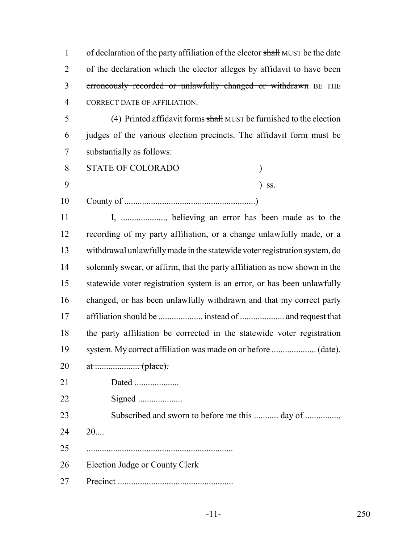1 of declaration of the party affiliation of the elector shall MUST be the date 2 of the declaration which the elector alleges by affidavit to have been 3 erroneously recorded or unlawfully changed or withdrawn BE THE CORRECT DATE OF AFFILIATION. (4) Printed affidavit forms shall MUST be furnished to the election judges of the various election precincts. The affidavit form must be substantially as follows: STATE OF COLORADO ) ) ss. County of ...........................................................) 11 I, .................., believing an error has been made as to the recording of my party affiliation, or a change unlawfully made, or a withdrawal unlawfully made in the statewide voter registration system, do 14 solemnly swear, or affirm, that the party affiliation as now shown in the statewide voter registration system is an error, or has been unlawfully changed, or has been unlawfully withdrawn and that my correct party affiliation should be .................... instead of .................... and request that the party affiliation be corrected in the statewide voter registration system. My correct affiliation was made on or before .................... (date). at .................... (place). Dated .................... Signed .................... 23 Subscribed and sworn to before me this ............ day of ............... 20.... .................................................................. Election Judge or County Clerk Precinct ....................................................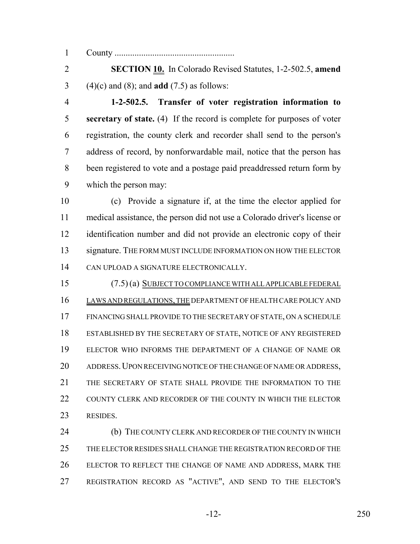County ......................................................

 **SECTION 10.** In Colorado Revised Statutes, 1-2-502.5, **amend** (4)(c) and (8); and **add** (7.5) as follows:

 **1-2-502.5. Transfer of voter registration information to secretary of state.** (4) If the record is complete for purposes of voter registration, the county clerk and recorder shall send to the person's address of record, by nonforwardable mail, notice that the person has been registered to vote and a postage paid preaddressed return form by which the person may:

 (c) Provide a signature if, at the time the elector applied for medical assistance, the person did not use a Colorado driver's license or identification number and did not provide an electronic copy of their 13 signature. THE FORM MUST INCLUDE INFORMATION ON HOW THE ELECTOR CAN UPLOAD A SIGNATURE ELECTRONICALLY.

 (7.5) (a) SUBJECT TO COMPLIANCE WITH ALL APPLICABLE FEDERAL LAWS AND REGULATIONS, THE DEPARTMENT OF HEALTH CARE POLICY AND FINANCING SHALL PROVIDE TO THE SECRETARY OF STATE, ON A SCHEDULE ESTABLISHED BY THE SECRETARY OF STATE, NOTICE OF ANY REGISTERED ELECTOR WHO INFORMS THE DEPARTMENT OF A CHANGE OF NAME OR ADDRESS.UPON RECEIVING NOTICE OF THE CHANGE OF NAME OR ADDRESS, THE SECRETARY OF STATE SHALL PROVIDE THE INFORMATION TO THE 22 COUNTY CLERK AND RECORDER OF THE COUNTY IN WHICH THE ELECTOR RESIDES.

24 (b) THE COUNTY CLERK AND RECORDER OF THE COUNTY IN WHICH THE ELECTOR RESIDES SHALL CHANGE THE REGISTRATION RECORD OF THE ELECTOR TO REFLECT THE CHANGE OF NAME AND ADDRESS, MARK THE REGISTRATION RECORD AS "ACTIVE", AND SEND TO THE ELECTOR'S

-12- 250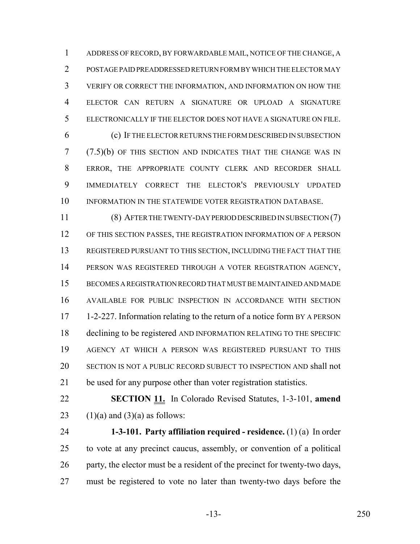ADDRESS OF RECORD, BY FORWARDABLE MAIL, NOTICE OF THE CHANGE, A POSTAGE PAID PREADDRESSED RETURN FORM BY WHICH THE ELECTOR MAY VERIFY OR CORRECT THE INFORMATION, AND INFORMATION ON HOW THE ELECTOR CAN RETURN A SIGNATURE OR UPLOAD A SIGNATURE ELECTRONICALLY IF THE ELECTOR DOES NOT HAVE A SIGNATURE ON FILE.

 (c) IF THE ELECTOR RETURNS THE FORM DESCRIBED IN SUBSECTION (7.5)(b) OF THIS SECTION AND INDICATES THAT THE CHANGE WAS IN ERROR, THE APPROPRIATE COUNTY CLERK AND RECORDER SHALL IMMEDIATELY CORRECT THE ELECTOR'S PREVIOUSLY UPDATED 10 INFORMATION IN THE STATEWIDE VOTER REGISTRATION DATABASE.

 (8) AFTER THE TWENTY-DAY PERIOD DESCRIBED IN SUBSECTION (7) OF THIS SECTION PASSES, THE REGISTRATION INFORMATION OF A PERSON REGISTERED PURSUANT TO THIS SECTION, INCLUDING THE FACT THAT THE PERSON WAS REGISTERED THROUGH A VOTER REGISTRATION AGENCY, BECOMES A REGISTRATION RECORD THAT MUST BE MAINTAINED AND MADE AVAILABLE FOR PUBLIC INSPECTION IN ACCORDANCE WITH SECTION 1-2-227. Information relating to the return of a notice form BY A PERSON declining to be registered AND INFORMATION RELATING TO THE SPECIFIC AGENCY AT WHICH A PERSON WAS REGISTERED PURSUANT TO THIS SECTION IS NOT A PUBLIC RECORD SUBJECT TO INSPECTION AND shall not be used for any purpose other than voter registration statistics.

 **SECTION 11.** In Colorado Revised Statutes, 1-3-101, **amend** 23  $(1)(a)$  and  $(3)(a)$  as follows:

 **1-3-101. Party affiliation required - residence.** (1) (a) In order to vote at any precinct caucus, assembly, or convention of a political party, the elector must be a resident of the precinct for twenty-two days, must be registered to vote no later than twenty-two days before the

-13- 250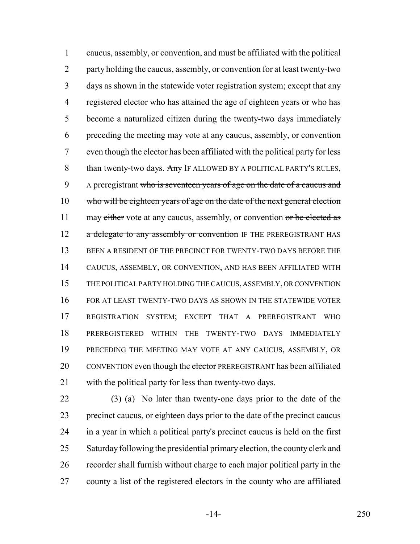caucus, assembly, or convention, and must be affiliated with the political party holding the caucus, assembly, or convention for at least twenty-two days as shown in the statewide voter registration system; except that any registered elector who has attained the age of eighteen years or who has become a naturalized citizen during the twenty-two days immediately preceding the meeting may vote at any caucus, assembly, or convention even though the elector has been affiliated with the political party for less 8 than twenty-two days. Any IF ALLOWED BY A POLITICAL PARTY'S RULES, 9 A preregistrant who is seventeen years of age on the date of a caucus and 10 who will be eighteen years of age on the date of the next general election 11 may either vote at any caucus, assembly, or convention or be elected as 12 a delegate to any assembly or convention IF THE PREREGISTRANT HAS 13 BEEN A RESIDENT OF THE PRECINCT FOR TWENTY-TWO DAYS BEFORE THE CAUCUS, ASSEMBLY, OR CONVENTION, AND HAS BEEN AFFILIATED WITH THE POLITICAL PARTY HOLDING THE CAUCUS, ASSEMBLY, OR CONVENTION FOR AT LEAST TWENTY-TWO DAYS AS SHOWN IN THE STATEWIDE VOTER REGISTRATION SYSTEM; EXCEPT THAT A PREREGISTRANT WHO PREREGISTERED WITHIN THE TWENTY-TWO DAYS IMMEDIATELY PRECEDING THE MEETING MAY VOTE AT ANY CAUCUS, ASSEMBLY, OR 20 CONVENTION even though the elector PREREGISTRANT has been affiliated with the political party for less than twenty-two days.

 (3) (a) No later than twenty-one days prior to the date of the precinct caucus, or eighteen days prior to the date of the precinct caucus in a year in which a political party's precinct caucus is held on the first Saturday following the presidential primary election, the county clerk and recorder shall furnish without charge to each major political party in the county a list of the registered electors in the county who are affiliated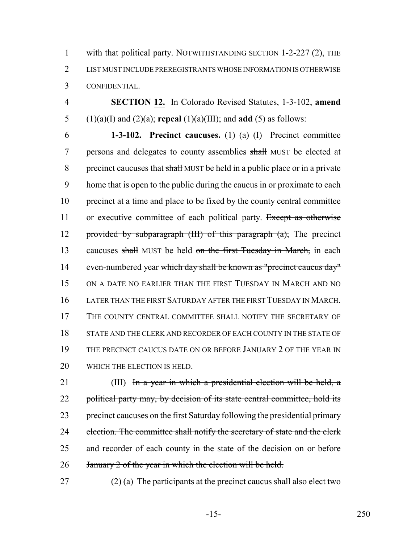1 with that political party. NOTWITHSTANDING SECTION 1-2-227 (2), THE 2 LIST MUST INCLUDE PREREGISTRANTS WHOSE INFORMATION IS OTHERWISE 3 CONFIDENTIAL.

4 **SECTION 12.** In Colorado Revised Statutes, 1-3-102, **amend** 5 (1)(a)(I) and (2)(a); **repeal** (1)(a)(III); and **add** (5) as follows:

6 **1-3-102. Precinct caucuses.** (1) (a) (I) Precinct committee 7 persons and delegates to county assemblies shall MUST be elected at 8 precinct caucuses that shall MUST be held in a public place or in a private 9 home that is open to the public during the caucus in or proximate to each 10 precinct at a time and place to be fixed by the county central committee 11 or executive committee of each political party. Except as otherwise 12 provided by subparagraph  $(HI)$  of this paragraph  $(a)$ , The precinct 13 caucuses shall MUST be held on the first Tuesday in March, in each 14 even-numbered year which day shall be known as "precinct caucus day" 15 ON A DATE NO EARLIER THAN THE FIRST TUESDAY IN MARCH AND NO 16 LATER THAN THE FIRST SATURDAY AFTER THE FIRST TUESDAY IN MARCH. 17 THE COUNTY CENTRAL COMMITTEE SHALL NOTIFY THE SECRETARY OF 18 STATE AND THE CLERK AND RECORDER OF EACH COUNTY IN THE STATE OF 19 THE PRECINCT CAUCUS DATE ON OR BEFORE JANUARY 2 OF THE YEAR IN 20 WHICH THE ELECTION IS HELD.

21 (III) In a year in which a presidential election will be held, a 22 political party may, by decision of its state central committee, hold its 23 precinct caucuses on the first Saturday following the presidential primary 24 election. The committee shall notify the secretary of state and the clerk 25 and recorder of each county in the state of the decision on or before 26 January 2 of the year in which the election will be held.

27 (2) (a) The participants at the precinct caucus shall also elect two

-15- 250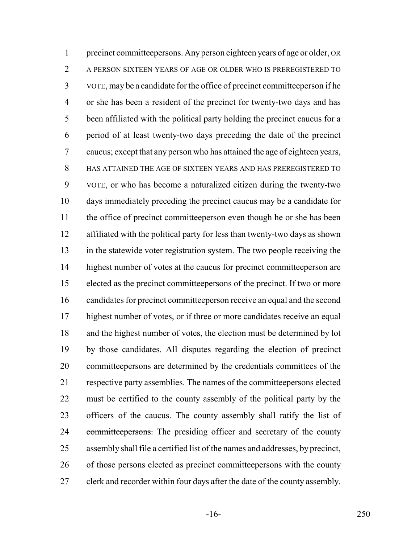precinct committeepersons. Any person eighteen years of age or older, OR A PERSON SIXTEEN YEARS OF AGE OR OLDER WHO IS PREREGISTERED TO VOTE, may be a candidate for the office of precinct committeeperson if he or she has been a resident of the precinct for twenty-two days and has been affiliated with the political party holding the precinct caucus for a period of at least twenty-two days preceding the date of the precinct caucus; except that any person who has attained the age of eighteen years, HAS ATTAINED THE AGE OF SIXTEEN YEARS AND HAS PREREGISTERED TO VOTE, or who has become a naturalized citizen during the twenty-two days immediately preceding the precinct caucus may be a candidate for the office of precinct committeeperson even though he or she has been affiliated with the political party for less than twenty-two days as shown in the statewide voter registration system. The two people receiving the 14 highest number of votes at the caucus for precinct committeeperson are elected as the precinct committeepersons of the precinct. If two or more candidates for precinct committeeperson receive an equal and the second highest number of votes, or if three or more candidates receive an equal and the highest number of votes, the election must be determined by lot by those candidates. All disputes regarding the election of precinct committeepersons are determined by the credentials committees of the respective party assemblies. The names of the committeepersons elected must be certified to the county assembly of the political party by the 23 officers of the caucus. The county assembly shall ratify the list of 24 committeepersons. The presiding officer and secretary of the county assembly shall file a certified list of the names and addresses, by precinct, of those persons elected as precinct committeepersons with the county clerk and recorder within four days after the date of the county assembly.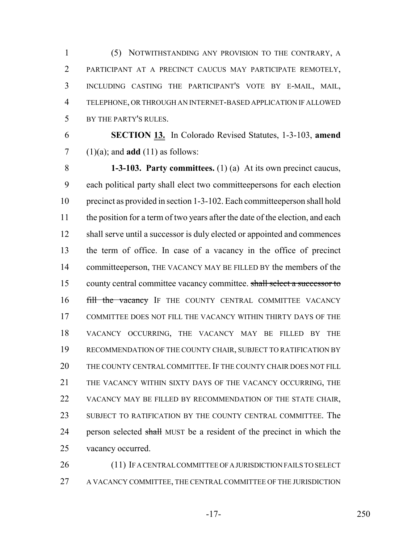(5) NOTWITHSTANDING ANY PROVISION TO THE CONTRARY, A PARTICIPANT AT A PRECINCT CAUCUS MAY PARTICIPATE REMOTELY, INCLUDING CASTING THE PARTICIPANT'S VOTE BY E-MAIL, MAIL, TELEPHONE, OR THROUGH AN INTERNET-BASED APPLICATION IF ALLOWED BY THE PARTY'S RULES.

 **SECTION 13.** In Colorado Revised Statutes, 1-3-103, **amend**  $7 \quad (1)(a)$ ; and **add** (11) as follows:

 **1-3-103. Party committees.** (1) (a) At its own precinct caucus, each political party shall elect two committeepersons for each election precinct as provided in section 1-3-102. Each committeeperson shall hold 11 the position for a term of two years after the date of the election, and each 12 shall serve until a successor is duly elected or appointed and commences the term of office. In case of a vacancy in the office of precinct committeeperson, THE VACANCY MAY BE FILLED BY the members of the 15 county central committee vacancy committee. shall select a successor to **fill the vacancy** IF THE COUNTY CENTRAL COMMITTEE VACANCY COMMITTEE DOES NOT FILL THE VACANCY WITHIN THIRTY DAYS OF THE VACANCY OCCURRING, THE VACANCY MAY BE FILLED BY THE RECOMMENDATION OF THE COUNTY CHAIR, SUBJECT TO RATIFICATION BY THE COUNTY CENTRAL COMMITTEE. IF THE COUNTY CHAIR DOES NOT FILL THE VACANCY WITHIN SIXTY DAYS OF THE VACANCY OCCURRING, THE VACANCY MAY BE FILLED BY RECOMMENDATION OF THE STATE CHAIR, SUBJECT TO RATIFICATION BY THE COUNTY CENTRAL COMMITTEE. The 24 person selected shall MUST be a resident of the precinct in which the vacancy occurred.

 (11) IF A CENTRAL COMMITTEE OF A JURISDICTION FAILS TO SELECT A VACANCY COMMITTEE, THE CENTRAL COMMITTEE OF THE JURISDICTION

-17- 250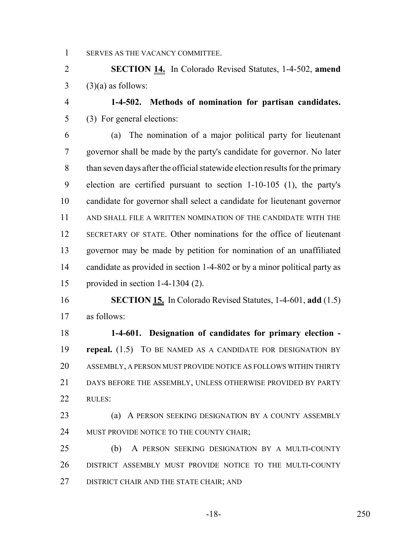SERVES AS THE VACANCY COMMITTEE.

 **SECTION 14.** In Colorado Revised Statutes, 1-4-502, **amend** (3)(a) as follows:

 **1-4-502. Methods of nomination for partisan candidates.** (3) For general elections:

 (a) The nomination of a major political party for lieutenant governor shall be made by the party's candidate for governor. No later than seven days after the official statewide election results for the primary election are certified pursuant to section 1-10-105 (1), the party's candidate for governor shall select a candidate for lieutenant governor AND SHALL FILE A WRITTEN NOMINATION OF THE CANDIDATE WITH THE SECRETARY OF STATE. Other nominations for the office of lieutenant governor may be made by petition for nomination of an unaffiliated candidate as provided in section 1-4-802 or by a minor political party as provided in section 1-4-1304 (2).

 **SECTION 15.** In Colorado Revised Statutes, 1-4-601, **add** (1.5) as follows:

 **1-4-601. Designation of candidates for primary election - repeal.** (1.5) TO BE NAMED AS A CANDIDATE FOR DESIGNATION BY ASSEMBLY, A PERSON MUST PROVIDE NOTICE AS FOLLOWS WITHIN THIRTY DAYS BEFORE THE ASSEMBLY, UNLESS OTHERWISE PROVIDED BY PARTY RULES:

 (a) A PERSON SEEKING DESIGNATION BY A COUNTY ASSEMBLY 24 MUST PROVIDE NOTICE TO THE COUNTY CHAIR;

 (b) A PERSON SEEKING DESIGNATION BY A MULTI-COUNTY DISTRICT ASSEMBLY MUST PROVIDE NOTICE TO THE MULTI-COUNTY 27 DISTRICT CHAIR AND THE STATE CHAIR; AND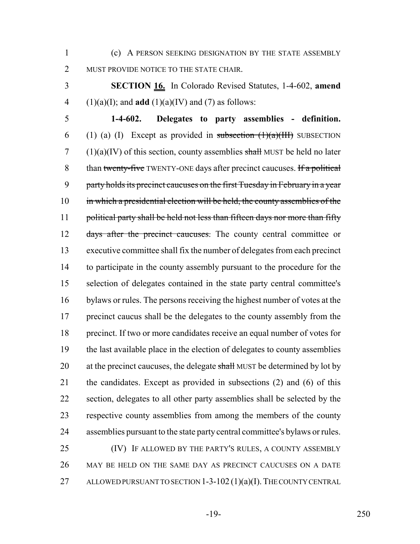1 (c) A PERSON SEEKING DESIGNATION BY THE STATE ASSEMBLY 2 MUST PROVIDE NOTICE TO THE STATE CHAIR.

3 **SECTION 16.** In Colorado Revised Statutes, 1-4-602, **amend** 4 (1)(a)(I); and **add** (1)(a)(IV) and (7) as follows:

 **1-4-602. Delegates to party assemblies - definition.** 6 (1) (a) (I) Except as provided in subsection  $(1)(a)(III)$  SUBSECTION (1)(a)(IV) of this section, county assemblies shall MUST be held no later 8 than twenty-five TWENTY-ONE days after precinct caucuses. If a political party holds its precinct caucuses on the first Tuesday in February in a year 10 in which a presidential election will be held, the county assemblies of the 11 political party shall be held not less than fifteen days nor more than fifty 12 days after the precinct caucuses. The county central committee or executive committee shall fix the number of delegates from each precinct 14 to participate in the county assembly pursuant to the procedure for the selection of delegates contained in the state party central committee's bylaws or rules. The persons receiving the highest number of votes at the 17 precinct caucus shall be the delegates to the county assembly from the precinct. If two or more candidates receive an equal number of votes for the last available place in the election of delegates to county assemblies 20 at the precinct caucuses, the delegate shall MUST be determined by lot by the candidates. Except as provided in subsections (2) and (6) of this section, delegates to all other party assemblies shall be selected by the respective county assemblies from among the members of the county assemblies pursuant to the state party central committee's bylaws or rules. (IV) IF ALLOWED BY THE PARTY'S RULES, A COUNTY ASSEMBLY

26 MAY BE HELD ON THE SAME DAY AS PRECINCT CAUCUSES ON A DATE 27 ALLOWED PURSUANT TO SECTION 1-3-102 (1)(a)(I). THE COUNTY CENTRAL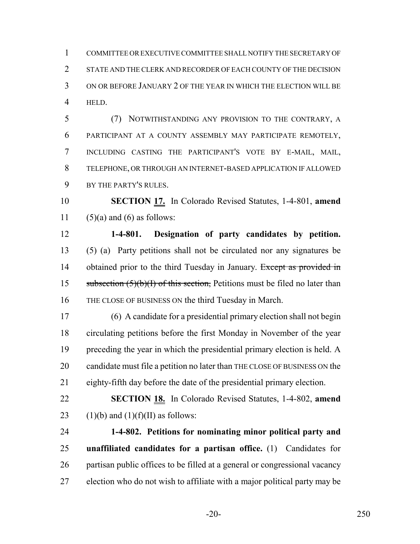COMMITTEE OR EXECUTIVE COMMITTEE SHALL NOTIFY THE SECRETARY OF 2 STATE AND THE CLERK AND RECORDER OF EACH COUNTY OF THE DECISION ON OR BEFORE JANUARY 2 OF THE YEAR IN WHICH THE ELECTION WILL BE HELD.

 (7) NOTWITHSTANDING ANY PROVISION TO THE CONTRARY, A PARTICIPANT AT A COUNTY ASSEMBLY MAY PARTICIPATE REMOTELY, INCLUDING CASTING THE PARTICIPANT'S VOTE BY E-MAIL, MAIL, TELEPHONE, OR THROUGH AN INTERNET-BASED APPLICATION IF ALLOWED BY THE PARTY'S RULES.

 **SECTION 17.** In Colorado Revised Statutes, 1-4-801, **amend** 11 (5)(a) and (6) as follows:

 **1-4-801. Designation of party candidates by petition.** (5) (a) Party petitions shall not be circulated nor any signatures be 14 obtained prior to the third Tuesday in January. Except as provided in 15 subsection  $(5)(b)(I)$  of this section, Petitions must be filed no later than THE CLOSE OF BUSINESS ON the third Tuesday in March.

 (6) A candidate for a presidential primary election shall not begin circulating petitions before the first Monday in November of the year preceding the year in which the presidential primary election is held. A candidate must file a petition no later than THE CLOSE OF BUSINESS ON the eighty-fifth day before the date of the presidential primary election.

 **SECTION 18.** In Colorado Revised Statutes, 1-4-802, **amend** 23 (1)(b) and (1)(f)(II) as follows:

 **1-4-802. Petitions for nominating minor political party and unaffiliated candidates for a partisan office.** (1) Candidates for partisan public offices to be filled at a general or congressional vacancy election who do not wish to affiliate with a major political party may be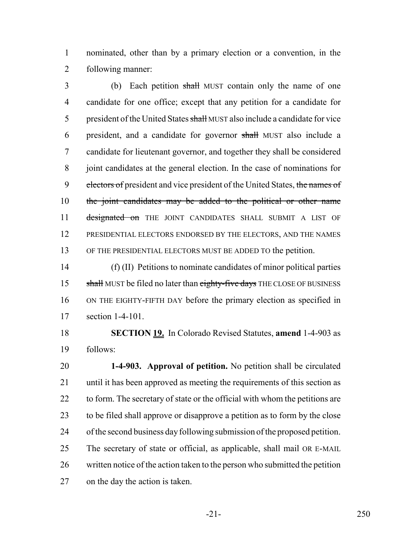nominated, other than by a primary election or a convention, in the following manner:

3 (b) Each petition shall MUST contain only the name of one candidate for one office; except that any petition for a candidate for 5 president of the United States shall MUST also include a candidate for vice president, and a candidate for governor shall MUST also include a candidate for lieutenant governor, and together they shall be considered joint candidates at the general election. In the case of nominations for 9 electors of president and vice president of the United States, the names of 10 the joint candidates may be added to the political or other name 11 designated on THE JOINT CANDIDATES SHALL SUBMIT A LIST OF PRESIDENTIAL ELECTORS ENDORSED BY THE ELECTORS, AND THE NAMES OF THE PRESIDENTIAL ELECTORS MUST BE ADDED TO the petition.

 (f) (II) Petitions to nominate candidates of minor political parties 15 shall MUST be filed no later than eighty-five days THE CLOSE OF BUSINESS ON THE EIGHTY-FIFTH DAY before the primary election as specified in section 1-4-101.

 **SECTION 19.** In Colorado Revised Statutes, **amend** 1-4-903 as follows:

 **1-4-903. Approval of petition.** No petition shall be circulated until it has been approved as meeting the requirements of this section as 22 to form. The secretary of state or the official with whom the petitions are to be filed shall approve or disapprove a petition as to form by the close of the second business day following submission of the proposed petition. The secretary of state or official, as applicable, shall mail OR E-MAIL written notice of the action taken to the person who submitted the petition on the day the action is taken.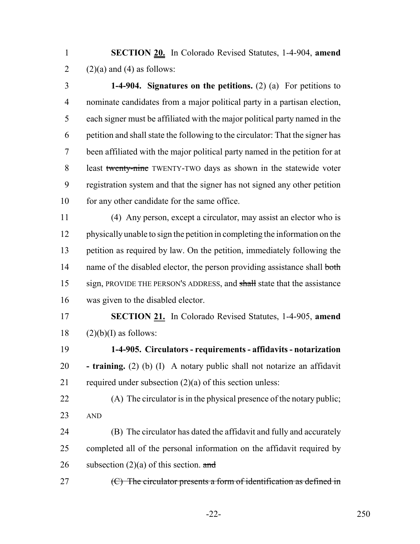**SECTION 20.** In Colorado Revised Statutes, 1-4-904, **amend** 2 (2)(a) and (4) as follows:

 **1-4-904. Signatures on the petitions.** (2) (a) For petitions to nominate candidates from a major political party in a partisan election, each signer must be affiliated with the major political party named in the petition and shall state the following to the circulator: That the signer has been affiliated with the major political party named in the petition for at least twenty-nine TWENTY-TWO days as shown in the statewide voter registration system and that the signer has not signed any other petition 10 for any other candidate for the same office.

 (4) Any person, except a circulator, may assist an elector who is physically unable to sign the petition in completing the information on the petition as required by law. On the petition, immediately following the 14 name of the disabled elector, the person providing assistance shall both 15 sign, PROVIDE THE PERSON'S ADDRESS, and shall state that the assistance was given to the disabled elector.

 **SECTION 21.** In Colorado Revised Statutes, 1-4-905, **amend** (2)(b)(I) as follows:

 **1-4-905. Circulators - requirements - affidavits - notarization - training.** (2) (b) (I) A notary public shall not notarize an affidavit 21 required under subsection  $(2)(a)$  of this section unless:

 (A) The circulator is in the physical presence of the notary public; AND

 (B) The circulator has dated the affidavit and fully and accurately completed all of the personal information on the affidavit required by 26 subsection  $(2)(a)$  of this section. and

27  $(C)$  The circulator presents a form of identification as defined in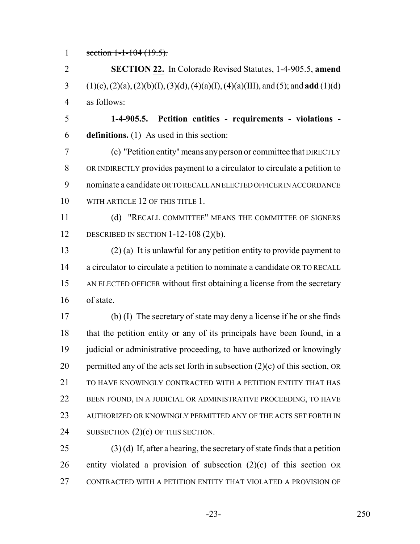1 section 1-1-104 (19.5).

 **SECTION 22.** In Colorado Revised Statutes, 1-4-905.5, **amend** (1)(c), (2)(a), (2)(b)(I), (3)(d), (4)(a)(I), (4)(a)(III), and (5); and **add** (1)(d) as follows:

 **1-4-905.5. Petition entities - requirements - violations - definitions.** (1) As used in this section:

 (c) "Petition entity" means any person or committee that DIRECTLY OR INDIRECTLY provides payment to a circulator to circulate a petition to nominate a candidate OR TO RECALL AN ELECTED OFFICER IN ACCORDANCE 10 WITH ARTICLE 12 OF THIS TITLE 1.

 (d) "RECALL COMMITTEE" MEANS THE COMMITTEE OF SIGNERS DESCRIBED IN SECTION 1-12-108 (2)(b).

 (2) (a) It is unlawful for any petition entity to provide payment to 14 a circulator to circulate a petition to nominate a candidate OR TO RECALL AN ELECTED OFFICER without first obtaining a license from the secretary of state.

 (b) (I) The secretary of state may deny a license if he or she finds that the petition entity or any of its principals have been found, in a 19 judicial or administrative proceeding, to have authorized or knowingly 20 permitted any of the acts set forth in subsection  $(2)(c)$  of this section, OR 21 TO HAVE KNOWINGLY CONTRACTED WITH A PETITION ENTITY THAT HAS BEEN FOUND, IN A JUDICIAL OR ADMINISTRATIVE PROCEEDING, TO HAVE AUTHORIZED OR KNOWINGLY PERMITTED ANY OF THE ACTS SET FORTH IN 24 SUBSECTION  $(2)(c)$  OF THIS SECTION.

 (3) (d) If, after a hearing, the secretary of state finds that a petition entity violated a provision of subsection (2)(c) of this section OR CONTRACTED WITH A PETITION ENTITY THAT VIOLATED A PROVISION OF

-23- 250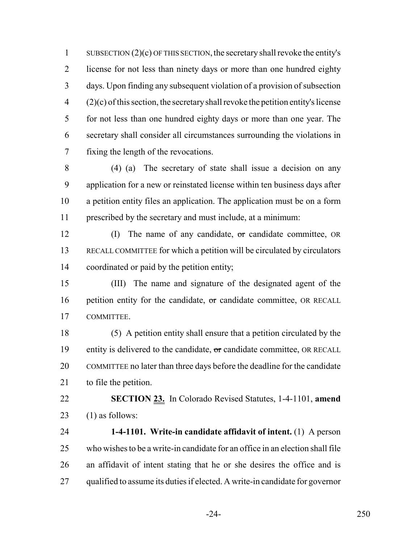1 SUBSECTION  $(2)(c)$  OF THIS SECTION, the secretary shall revoke the entity's license for not less than ninety days or more than one hundred eighty days. Upon finding any subsequent violation of a provision of subsection  $(2)(c)$  of this section, the secretary shall revoke the petition entity's license for not less than one hundred eighty days or more than one year. The secretary shall consider all circumstances surrounding the violations in fixing the length of the revocations.

 (4) (a) The secretary of state shall issue a decision on any application for a new or reinstated license within ten business days after a petition entity files an application. The application must be on a form prescribed by the secretary and must include, at a minimum:

 (I) The name of any candidate, or candidate committee, OR RECALL COMMITTEE for which a petition will be circulated by circulators coordinated or paid by the petition entity;

 (III) The name and signature of the designated agent of the 16 petition entity for the candidate,  $\sigma$ r candidate committee, OR RECALL COMMITTEE.

 (5) A petition entity shall ensure that a petition circulated by the 19 entity is delivered to the candidate,  $\sigma$  candidate committee, OR RECALL COMMITTEE no later than three days before the deadline for the candidate 21 to file the petition.

 **SECTION 23.** In Colorado Revised Statutes, 1-4-1101, **amend** 23  $(1)$  as follows:

 **1-4-1101. Write-in candidate affidavit of intent.** (1) A person who wishes to be a write-in candidate for an office in an election shall file an affidavit of intent stating that he or she desires the office and is qualified to assume its duties if elected. A write-in candidate for governor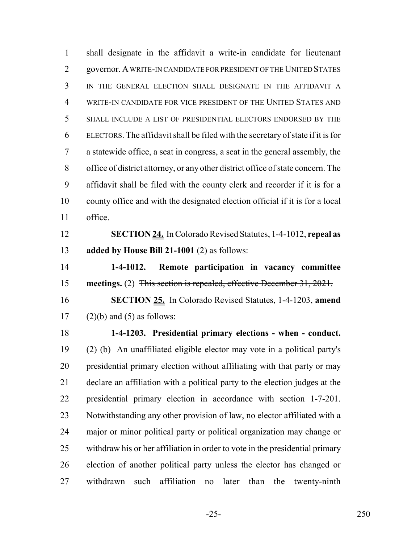shall designate in the affidavit a write-in candidate for lieutenant governor. A WRITE-IN CANDIDATE FOR PRESIDENT OF THE UNITED STATES IN THE GENERAL ELECTION SHALL DESIGNATE IN THE AFFIDAVIT A WRITE-IN CANDIDATE FOR VICE PRESIDENT OF THE UNITED STATES AND SHALL INCLUDE A LIST OF PRESIDENTIAL ELECTORS ENDORSED BY THE ELECTORS. The affidavit shall be filed with the secretary of state if it is for a statewide office, a seat in congress, a seat in the general assembly, the office of district attorney, or any other district office of state concern. The affidavit shall be filed with the county clerk and recorder if it is for a county office and with the designated election official if it is for a local office.

 **SECTION 24.** In Colorado Revised Statutes, 1-4-1012, **repeal as added by House Bill 21-1001** (2) as follows:

 **1-4-1012. Remote participation in vacancy committee meetings.** (2) This section is repealed, effective December 31, 2021.

 **SECTION 25.** In Colorado Revised Statutes, 1-4-1203, **amend** 17  $(2)(b)$  and  $(5)$  as follows:

 **1-4-1203. Presidential primary elections - when - conduct.** (2) (b) An unaffiliated eligible elector may vote in a political party's presidential primary election without affiliating with that party or may declare an affiliation with a political party to the election judges at the presidential primary election in accordance with section 1-7-201. Notwithstanding any other provision of law, no elector affiliated with a major or minor political party or political organization may change or withdraw his or her affiliation in order to vote in the presidential primary election of another political party unless the elector has changed or 27 withdrawn such affiliation no later than the twenty-ninth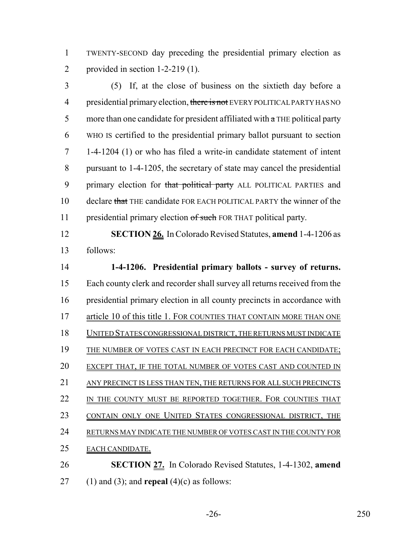TWENTY-SECOND day preceding the presidential primary election as provided in section 1-2-219 (1).

 (5) If, at the close of business on the sixtieth day before a 4 presidential primary election, there is not EVERY POLITICAL PARTY HAS NO more than one candidate for president affiliated with  $\alpha$  THE political party WHO IS certified to the presidential primary ballot pursuant to section 1-4-1204 (1) or who has filed a write-in candidate statement of intent pursuant to 1-4-1205, the secretary of state may cancel the presidential 9 primary election for that political party ALL POLITICAL PARTIES and 10 declare that THE candidate FOR EACH POLITICAL PARTY the winner of the 11 presidential primary election of such FOR THAT political party.

 **SECTION 26.** In Colorado Revised Statutes, **amend** 1-4-1206 as follows:

 **1-4-1206. Presidential primary ballots - survey of returns.** Each county clerk and recorder shall survey all returns received from the presidential primary election in all county precincts in accordance with 17 article 10 of this title 1. FOR COUNTIES THAT CONTAIN MORE THAN ONE UNITED STATES CONGRESSIONAL DISTRICT, THE RETURNS MUST INDICATE 19 THE NUMBER OF VOTES CAST IN EACH PRECINCT FOR EACH CANDIDATE; 20 EXCEPT THAT, IF THE TOTAL NUMBER OF VOTES CAST AND COUNTED IN 21 ANY PRECINCT IS LESS THAN TEN, THE RETURNS FOR ALL SUCH PRECINCTS 22 IN THE COUNTY MUST BE REPORTED TOGETHER. FOR COUNTIES THAT 23 CONTAIN ONLY ONE UNITED STATES CONGRESSIONAL DISTRICT, THE RETURNS MAY INDICATE THE NUMBER OF VOTES CAST IN THE COUNTY FOR EACH CANDIDATE. **SECTION 27.** In Colorado Revised Statutes, 1-4-1302, **amend**

(1) and (3); and **repeal** (4)(c) as follows: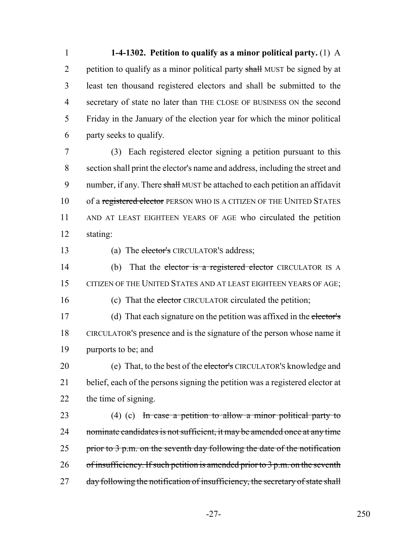**1-4-1302. Petition to qualify as a minor political party.** (1) A 2 petition to qualify as a minor political party shall MUST be signed by at least ten thousand registered electors and shall be submitted to the secretary of state no later than THE CLOSE OF BUSINESS ON the second Friday in the January of the election year for which the minor political party seeks to qualify.

7 (3) Each registered elector signing a petition pursuant to this 8 section shall print the elector's name and address, including the street and 9 number, if any. There shall MUST be attached to each petition an affidavit 10 of a registered elector PERSON WHO IS A CITIZEN OF THE UNITED STATES 11 AND AT LEAST EIGHTEEN YEARS OF AGE who circulated the petition 12 stating:

13 (a) The elector's CIRCULATOR's address;

14 (b) That the elector is a registered elector CIRCULATOR IS A 15 CITIZEN OF THE UNITED STATES AND AT LEAST EIGHTEEN YEARS OF AGE;

16 (c) That the elector CIRCULATOR circulated the petition;

17 (d) That each signature on the petition was affixed in the elector's 18 CIRCULATOR'S presence and is the signature of the person whose name it 19 purports to be; and

20 (e) That, to the best of the elector's CIRCULATOR's knowledge and 21 belief, each of the persons signing the petition was a registered elector at 22 the time of signing.

23 (4) (c) In case a petition to allow a minor political party to 24 nominate candidates is not sufficient, it may be amended once at any time 25 prior to  $3$  p.m. on the seventh day following the date of the notification 26 of insufficiency. If such petition is amended prior to  $3 p.m.$  on the seventh 27 day following the notification of insufficiency, the secretary of state shall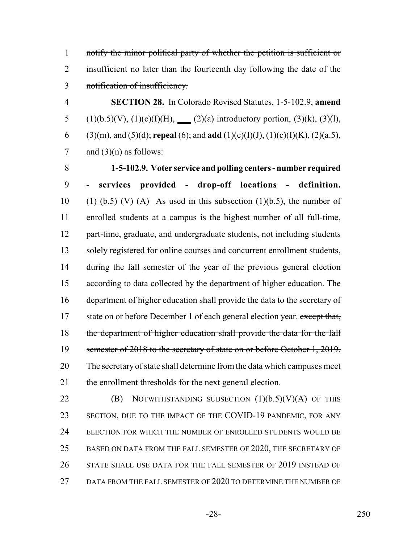notify the minor political party of whether the petition is sufficient or 2 insufficient no later than the fourteenth day following the date of the notification of insufficiency.

 **SECTION 28.** In Colorado Revised Statutes, 1-5-102.9, **amend** 5 (1)(b.5)(V), (1)(c)(I)(H), (2)(a) introductory portion, (3)(k), (3)(l), (3)(m), and (5)(d); **repeal** (6); and **add** (1)(c)(I)(J), (1)(c)(I)(K), (2)(a.5), 7 and  $(3)(n)$  as follows:

 **1-5-102.9. Voter service and polling centers - number required - services provided - drop-off locations - definition.** 10 (1) (b.5) (V) (A) As used in this subsection (1)(b.5), the number of enrolled students at a campus is the highest number of all full-time, part-time, graduate, and undergraduate students, not including students solely registered for online courses and concurrent enrollment students, during the fall semester of the year of the previous general election according to data collected by the department of higher education. The department of higher education shall provide the data to the secretary of 17 state on or before December 1 of each general election year. except that, 18 the department of higher education shall provide the data for the fall 19 semester of 2018 to the secretary of state on or before October 1, 2019. The secretary of state shall determine from the data which campuses meet the enrollment thresholds for the next general election.

**(B)** NOTWITHSTANDING SUBSECTION  $(1)(b.5)(V)(A)$  OF THIS SECTION, DUE TO THE IMPACT OF THE COVID-19 PANDEMIC, FOR ANY ELECTION FOR WHICH THE NUMBER OF ENROLLED STUDENTS WOULD BE 25 BASED ON DATA FROM THE FALL SEMESTER OF 2020, THE SECRETARY OF STATE SHALL USE DATA FOR THE FALL SEMESTER OF 2019 INSTEAD OF DATA FROM THE FALL SEMESTER OF 2020 TO DETERMINE THE NUMBER OF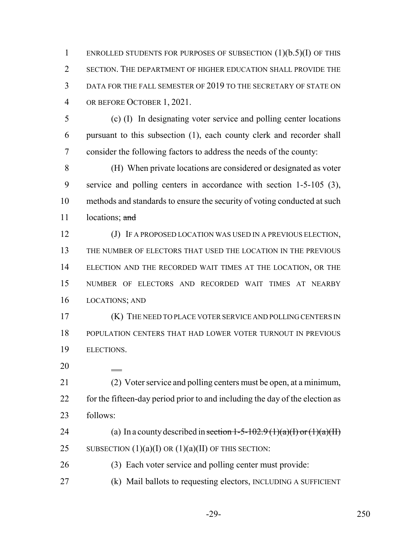1 ENROLLED STUDENTS FOR PURPOSES OF SUBSECTION  $(1)(b.5)(I)$  OF THIS SECTION. THE DEPARTMENT OF HIGHER EDUCATION SHALL PROVIDE THE DATA FOR THE FALL SEMESTER OF 2019 TO THE SECRETARY OF STATE ON OR BEFORE OCTOBER 1, 2021.

 (c) (I) In designating voter service and polling center locations pursuant to this subsection (1), each county clerk and recorder shall consider the following factors to address the needs of the county:

 (H) When private locations are considered or designated as voter service and polling centers in accordance with section 1-5-105 (3), methods and standards to ensure the security of voting conducted at such 11 locations; and

 (J) IF A PROPOSED LOCATION WAS USED IN A PREVIOUS ELECTION, THE NUMBER OF ELECTORS THAT USED THE LOCATION IN THE PREVIOUS ELECTION AND THE RECORDED WAIT TIMES AT THE LOCATION, OR THE NUMBER OF ELECTORS AND RECORDED WAIT TIMES AT NEARBY LOCATIONS; AND

 (K) THE NEED TO PLACE VOTER SERVICE AND POLLING CENTERS IN POPULATION CENTERS THAT HAD LOWER VOTER TURNOUT IN PREVIOUS ELECTIONS.

 (2) Voter service and polling centers must be open, at a minimum, 22 for the fifteen-day period prior to and including the day of the election as follows:

24 (a) In a county described in section  $1-5-102.9$  (1)(a)(I) or (1)(a)(II) 25 SUBSECTION  $(1)(a)(I)$  OR  $(1)(a)(II)$  OF THIS SECTION:

(3) Each voter service and polling center must provide:

(k) Mail ballots to requesting electors, INCLUDING A SUFFICIENT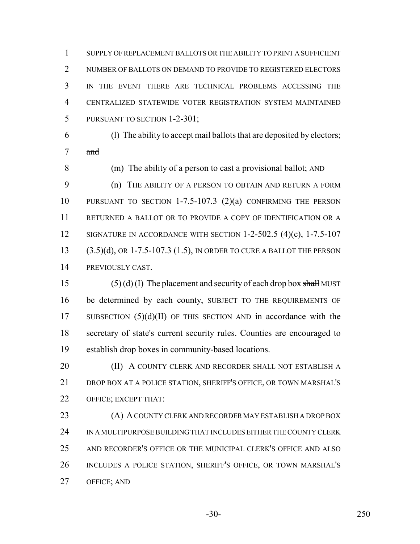SUPPLY OF REPLACEMENT BALLOTS OR THE ABILITY TO PRINT A SUFFICIENT 2 NUMBER OF BALLOTS ON DEMAND TO PROVIDE TO REGISTERED ELECTORS IN THE EVENT THERE ARE TECHNICAL PROBLEMS ACCESSING THE CENTRALIZED STATEWIDE VOTER REGISTRATION SYSTEM MAINTAINED PURSUANT TO SECTION 1-2-301;

 (l) The ability to accept mail ballots that are deposited by electors; and

 (m) The ability of a person to cast a provisional ballot; AND (n) THE ABILITY OF A PERSON TO OBTAIN AND RETURN A FORM PURSUANT TO SECTION 1-7.5-107.3 (2)(a) CONFIRMING THE PERSON RETURNED A BALLOT OR TO PROVIDE A COPY OF IDENTIFICATION OR A 12 SIGNATURE IN ACCORDANCE WITH SECTION 1-2-502.5 (4)(c), 1-7.5-107 (3.5)(d), OR 1-7.5-107.3 (1.5), IN ORDER TO CURE A BALLOT THE PERSON PREVIOUSLY CAST.

15 (5) (d) (I) The placement and security of each drop box shall MUST be determined by each county, SUBJECT TO THE REQUIREMENTS OF 17 SUBSECTION  $(5)(d)(II)$  OF THIS SECTION AND in accordance with the secretary of state's current security rules. Counties are encouraged to establish drop boxes in community-based locations.

**(II) A COUNTY CLERK AND RECORDER SHALL NOT ESTABLISH A**  DROP BOX AT A POLICE STATION, SHERIFF'S OFFICE, OR TOWN MARSHAL'S OFFICE; EXCEPT THAT:

 (A) A COUNTY CLERK AND RECORDER MAY ESTABLISH A DROP BOX IN A MULTIPURPOSE BUILDING THAT INCLUDES EITHER THE COUNTY CLERK AND RECORDER'S OFFICE OR THE MUNICIPAL CLERK'S OFFICE AND ALSO INCLUDES A POLICE STATION, SHERIFF'S OFFICE, OR TOWN MARSHAL'S OFFICE; AND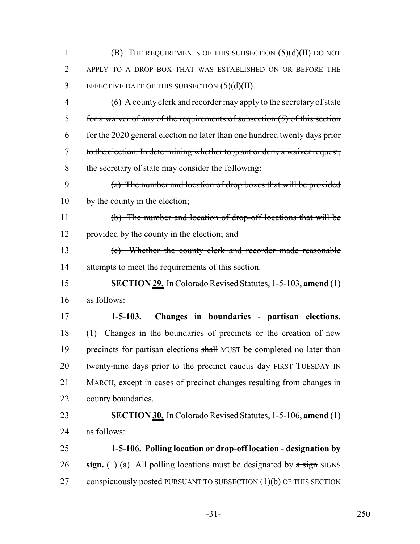(B) THE REQUIREMENTS OF THIS SUBSECTION (5)(d)(II) DO NOT APPLY TO A DROP BOX THAT WAS ESTABLISHED ON OR BEFORE THE EFFECTIVE DATE OF THIS SUBSECTION  $(5)(d)(II)$ .

 (6) A county clerk and recorder may apply to the secretary of state for a waiver of any of the requirements of subsection (5) of this section for the 2020 general election no later than one hundred twenty days prior to the election. In determining whether to grant or deny a waiver request, the secretary of state may consider the following:

 (a) The number and location of drop boxes that will be provided 10 by the county in the election;

 (b) The number and location of drop-off locations that will be 12 provided by the county in the election; and

 (c) Whether the county clerk and recorder made reasonable 14 attempts to meet the requirements of this section.

 **SECTION 29.** In Colorado Revised Statutes, 1-5-103, **amend** (1) as follows:

 **1-5-103. Changes in boundaries - partisan elections.** (1) Changes in the boundaries of precincts or the creation of new 19 precincts for partisan elections shall MUST be completed no later than 20 twenty-nine days prior to the precinct caucus day FIRST TUESDAY IN MARCH, except in cases of precinct changes resulting from changes in county boundaries.

 **SECTION 30.** In Colorado Revised Statutes, 1-5-106, **amend** (1) as follows:

 **1-5-106. Polling location or drop-off location - designation by sign.** (1) (a) All polling locations must be designated by a sign SIGNS 27 conspicuously posted PURSUANT TO SUBSECTION (1)(b) OF THIS SECTION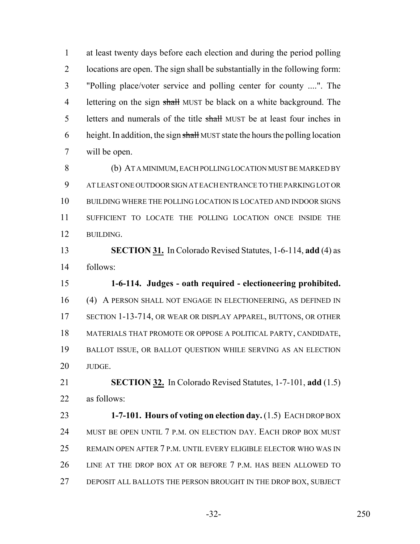at least twenty days before each election and during the period polling locations are open. The sign shall be substantially in the following form: "Polling place/voter service and polling center for county ....". The 4 lettering on the sign shall MUST be black on a white background. The 5 letters and numerals of the title shall MUST be at least four inches in 6 height. In addition, the sign shall MUST state the hours the polling location will be open.

 (b) AT A MINIMUM, EACH POLLING LOCATION MUST BE MARKED BY AT LEAST ONE OUTDOOR SIGN AT EACH ENTRANCE TO THE PARKING LOT OR BUILDING WHERE THE POLLING LOCATION IS LOCATED AND INDOOR SIGNS SUFFICIENT TO LOCATE THE POLLING LOCATION ONCE INSIDE THE BUILDING.

 **SECTION 31.** In Colorado Revised Statutes, 1-6-114, **add** (4) as follows:

 **1-6-114. Judges - oath required - electioneering prohibited.** (4) A PERSON SHALL NOT ENGAGE IN ELECTIONEERING, AS DEFINED IN SECTION 1-13-714, OR WEAR OR DISPLAY APPAREL, BUTTONS, OR OTHER MATERIALS THAT PROMOTE OR OPPOSE A POLITICAL PARTY, CANDIDATE, BALLOT ISSUE, OR BALLOT QUESTION WHILE SERVING AS AN ELECTION JUDGE.

 **SECTION 32.** In Colorado Revised Statutes, 1-7-101, **add** (1.5) as follows:

 **1-7-101. Hours of voting on election day.** (1.5) EACH DROP BOX MUST BE OPEN UNTIL 7 P.M. ON ELECTION DAY. EACH DROP BOX MUST REMAIN OPEN AFTER 7 P.M. UNTIL EVERY ELIGIBLE ELECTOR WHO WAS IN LINE AT THE DROP BOX AT OR BEFORE 7 P.M. HAS BEEN ALLOWED TO DEPOSIT ALL BALLOTS THE PERSON BROUGHT IN THE DROP BOX, SUBJECT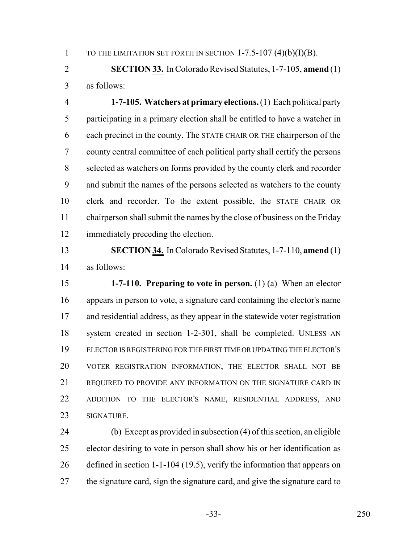1 TO THE LIMITATION SET FORTH IN SECTION  $1-7.5-107$  (4)(b)(I)(B).

 **SECTION 33.** In Colorado Revised Statutes, 1-7-105, **amend** (1) as follows:

 **1-7-105. Watchers at primary elections.** (1) Each political party participating in a primary election shall be entitled to have a watcher in each precinct in the county. The STATE CHAIR OR THE chairperson of the county central committee of each political party shall certify the persons selected as watchers on forms provided by the county clerk and recorder and submit the names of the persons selected as watchers to the county clerk and recorder. To the extent possible, the STATE CHAIR OR chairperson shall submit the names by the close of business on the Friday immediately preceding the election.

 **SECTION 34.** In Colorado Revised Statutes, 1-7-110, **amend** (1) as follows:

 **1-7-110. Preparing to vote in person.** (1) (a) When an elector appears in person to vote, a signature card containing the elector's name and residential address, as they appear in the statewide voter registration system created in section 1-2-301, shall be completed. UNLESS AN ELECTOR IS REGISTERING FOR THE FIRST TIME OR UPDATING THE ELECTOR'S VOTER REGISTRATION INFORMATION, THE ELECTOR SHALL NOT BE REQUIRED TO PROVIDE ANY INFORMATION ON THE SIGNATURE CARD IN ADDITION TO THE ELECTOR'S NAME, RESIDENTIAL ADDRESS, AND SIGNATURE.

 (b) Except as provided in subsection (4) of this section, an eligible elector desiring to vote in person shall show his or her identification as defined in section 1-1-104 (19.5), verify the information that appears on 27 the signature card, sign the signature card, and give the signature card to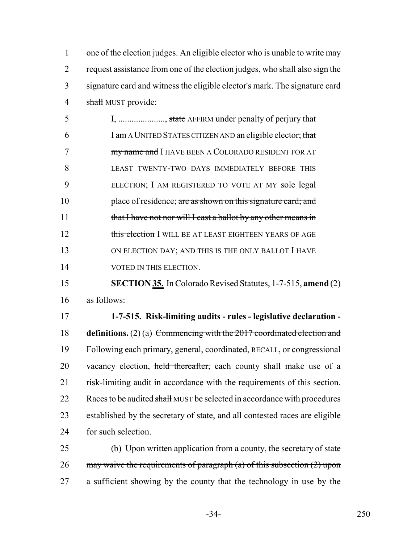one of the election judges. An eligible elector who is unable to write may request assistance from one of the election judges, who shall also sign the signature card and witness the eligible elector's mark. The signature card 4 shall MUST provide:

5 I, ....................., state AFFIRM under penalty of perjury that 6 I am A UNITED STATES CITIZEN AND an eligible elector; that 7 **my name and I** HAVE BEEN A COLORADO RESIDENT FOR AT 8 LEAST TWENTY-TWO DAYS IMMEDIATELY BEFORE THIS 9 ELECTION; I AM REGISTERED TO VOTE AT MY sole legal 10 place of residence; are as shown on this signature card; and 11 that I have not nor will I cast a ballot by any other means in 12 this election I WILL BE AT LEAST EIGHTEEN YEARS OF AGE 13 ON ELECTION DAY; AND THIS IS THE ONLY BALLOT I HAVE 14 VOTED IN THIS ELECTION.

15 **SECTION 35.** In Colorado Revised Statutes, 1-7-515, **amend** (2) 16 as follows:

 **1-7-515. Risk-limiting audits - rules - legislative declaration - definitions.** (2) (a) Commencing with the 2017 coordinated election and Following each primary, general, coordinated, RECALL, or congressional 20 vacancy election, held thereafter, each county shall make use of a risk-limiting audit in accordance with the requirements of this section. 22 Races to be audited shall MUST be selected in accordance with procedures established by the secretary of state, and all contested races are eligible for such selection.

25 (b) Upon written application from a county, the secretary of state 26 may waive the requirements of paragraph  $(a)$  of this subsection  $(2)$  upon 27 a sufficient showing by the county that the technology in use by the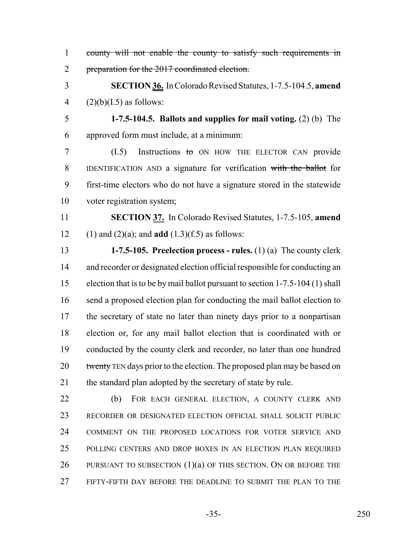- county will not enable the county to satisfy such requirements in 2 preparation for the 2017 coordinated election. **SECTION 36.** In Colorado Revised Statutes, 1-7.5-104.5, **amend** 4  $(2)(b)(I.5)$  as follows: **1-7.5-104.5. Ballots and supplies for mail voting.** (2) (b) The approved form must include, at a minimum: 7 (I.5) Instructions to ON HOW THE ELECTOR CAN provide IDENTIFICATION AND a signature for verification with the ballot for first-time electors who do not have a signature stored in the statewide voter registration system; **SECTION 37.** In Colorado Revised Statutes, 1-7.5-105, **amend**
- (1) and (2)(a); and **add** (1.3)(f.5) as follows:
- **1-7.5-105. Preelection process rules.** (1) (a) The county clerk and recorder or designated election official responsible for conducting an election that is to be by mail ballot pursuant to section 1-7.5-104 (1) shall 16 send a proposed election plan for conducting the mail ballot election to the secretary of state no later than ninety days prior to a nonpartisan election or, for any mail ballot election that is coordinated with or conducted by the county clerk and recorder, no later than one hundred 20 twenty TEN days prior to the election. The proposed plan may be based on 21 the standard plan adopted by the secretary of state by rule.
- (b) FOR EACH GENERAL ELECTION, A COUNTY CLERK AND RECORDER OR DESIGNATED ELECTION OFFICIAL SHALL SOLICIT PUBLIC COMMENT ON THE PROPOSED LOCATIONS FOR VOTER SERVICE AND POLLING CENTERS AND DROP BOXES IN AN ELECTION PLAN REQUIRED 26 PURSUANT TO SUBSECTION  $(1)(a)$  of this section. On or before the FIFTY-FIFTH DAY BEFORE THE DEADLINE TO SUBMIT THE PLAN TO THE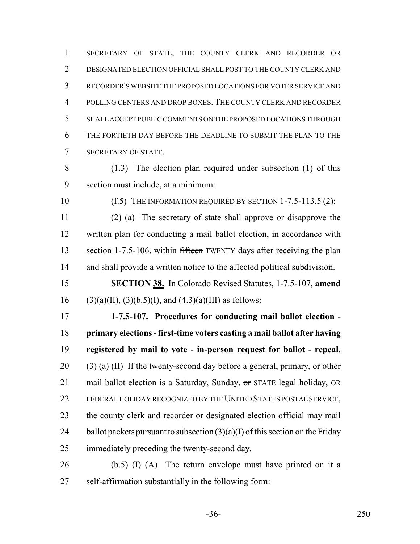SECRETARY OF STATE, THE COUNTY CLERK AND RECORDER OR DESIGNATED ELECTION OFFICIAL SHALL POST TO THE COUNTY CLERK AND RECORDER'S WEBSITE THE PROPOSED LOCATIONS FOR VOTER SERVICE AND POLLING CENTERS AND DROP BOXES. THE COUNTY CLERK AND RECORDER SHALL ACCEPT PUBLIC COMMENTS ON THE PROPOSED LOCATIONS THROUGH THE FORTIETH DAY BEFORE THE DEADLINE TO SUBMIT THE PLAN TO THE SECRETARY OF STATE.

 (1.3) The election plan required under subsection (1) of this section must include, at a minimum:

10 (f.5) THE INFORMATION REQUIRED BY SECTION 1-7.5-113.5 (2);

 (2) (a) The secretary of state shall approve or disapprove the written plan for conducting a mail ballot election, in accordance with 13 section 1-7.5-106, within fifteen TWENTY days after receiving the plan and shall provide a written notice to the affected political subdivision.

 **SECTION 38.** In Colorado Revised Statutes, 1-7.5-107, **amend** 16 (3)(a)(II), (3)(b.5)(I), and (4.3)(a)(III) as follows:

 **1-7.5-107. Procedures for conducting mail ballot election - primary elections - first-time voters casting a mail ballot after having registered by mail to vote - in-person request for ballot - repeal.** 20 (3) (a) (II) If the twenty-second day before a general, primary, or other 21 mail ballot election is a Saturday, Sunday, or STATE legal holiday, OR FEDERAL HOLIDAY RECOGNIZED BY THE UNITED STATES POSTAL SERVICE, the county clerk and recorder or designated election official may mail 24 ballot packets pursuant to subsection  $(3)(a)(I)$  of this section on the Friday immediately preceding the twenty-second day.

 (b.5) (I) (A) The return envelope must have printed on it a self-affirmation substantially in the following form: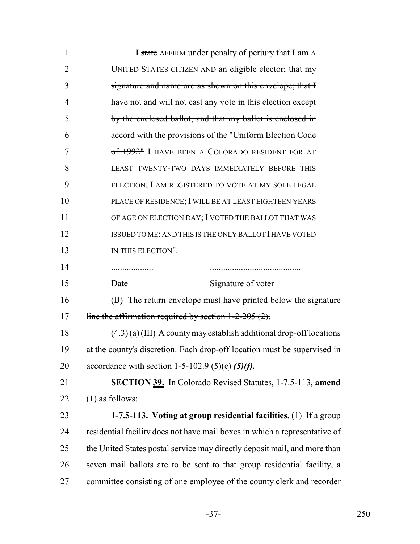| $\mathbf{1}$   | I state AFFIRM under penalty of perjury that I am A                        |
|----------------|----------------------------------------------------------------------------|
| $\overline{2}$ | UNITED STATES CITIZEN AND an eligible elector; that my                     |
| 3              | signature and name are as shown on this envelope; that I                   |
| $\overline{4}$ | have not and will not cast any vote in this election except                |
| 5              | by the enclosed ballot; and that my ballot is enclosed in                  |
| 6              | accord with the provisions of the "Uniform Election Code                   |
| 7              | of 1992 <sup>"</sup> I HAVE BEEN A COLORADO RESIDENT FOR AT                |
| 8              | LEAST TWENTY-TWO DAYS IMMEDIATELY BEFORE THIS                              |
| 9              | ELECTION; I AM REGISTERED TO VOTE AT MY SOLE LEGAL                         |
| 10             | PLACE OF RESIDENCE; I WILL BE AT LEAST EIGHTEEN YEARS                      |
| 11             | OF AGE ON ELECTION DAY; I VOTED THE BALLOT THAT WAS                        |
| 12             | ISSUED TO ME; AND THIS IS THE ONLY BALLOT I HAVE VOTED                     |
| 13             | IN THIS ELECTION".                                                         |
| 14             | .                                                                          |
| 15             | Signature of voter<br>Date                                                 |
| 16             | (B) The return envelope must have printed below the signature              |
| 17             | line the affirmation required by section $1-2-205(2)$ .                    |
| 18             | $(4.3)$ (a) (III) A county may establish additional drop-off locations     |
| 19             | at the county's discretion. Each drop-off location must be supervised in   |
| 20             | accordance with section 1-5-102.9 $\left(5\right)\left(6\right)$ (5)(f).   |
| 21             | <b>SECTION 39.</b> In Colorado Revised Statutes, 1-7.5-113, amend          |
| 22             | $(1)$ as follows:                                                          |
| 23             | 1-7.5-113. Voting at group residential facilities. (1) If a group          |
| 24             | residential facility does not have mail boxes in which a representative of |
| 25             | the United States postal service may directly deposit mail, and more than  |
| 26             | seven mail ballots are to be sent to that group residential facility, a    |
| 27             | committee consisting of one employee of the county clerk and recorder      |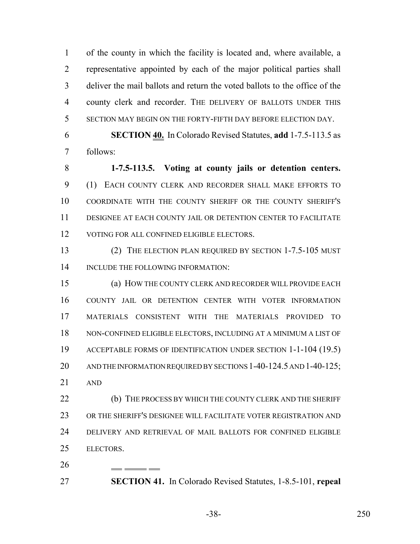of the county in which the facility is located and, where available, a representative appointed by each of the major political parties shall deliver the mail ballots and return the voted ballots to the office of the county clerk and recorder. THE DELIVERY OF BALLOTS UNDER THIS SECTION MAY BEGIN ON THE FORTY-FIFTH DAY BEFORE ELECTION DAY.

 **SECTION 40.** In Colorado Revised Statutes, **add** 1-7.5-113.5 as follows:

 **1-7.5-113.5. Voting at county jails or detention centers.** (1) EACH COUNTY CLERK AND RECORDER SHALL MAKE EFFORTS TO COORDINATE WITH THE COUNTY SHERIFF OR THE COUNTY SHERIFF'S DESIGNEE AT EACH COUNTY JAIL OR DETENTION CENTER TO FACILITATE 12 VOTING FOR ALL CONFINED ELIGIBLE ELECTORS.

 (2) THE ELECTION PLAN REQUIRED BY SECTION 1-7.5-105 MUST 14 INCLUDE THE FOLLOWING INFORMATION:

 (a) HOW THE COUNTY CLERK AND RECORDER WILL PROVIDE EACH COUNTY JAIL OR DETENTION CENTER WITH VOTER INFORMATION MATERIALS CONSISTENT WITH THE MATERIALS PROVIDED TO NON-CONFINED ELIGIBLE ELECTORS, INCLUDING AT A MINIMUM A LIST OF ACCEPTABLE FORMS OF IDENTIFICATION UNDER SECTION 1-1-104 (19.5) 20 AND THE INFORMATION REQUIRED BY SECTIONS 1-40-124.5 AND 1-40-125; AND

 (b) THE PROCESS BY WHICH THE COUNTY CLERK AND THE SHERIFF OR THE SHERIFF'S DESIGNEE WILL FACILITATE VOTER REGISTRATION AND DELIVERY AND RETRIEVAL OF MAIL BALLOTS FOR CONFINED ELIGIBLE ELECTORS.

**SECTION 41.** In Colorado Revised Statutes, 1-8.5-101, **repeal**

-38- 250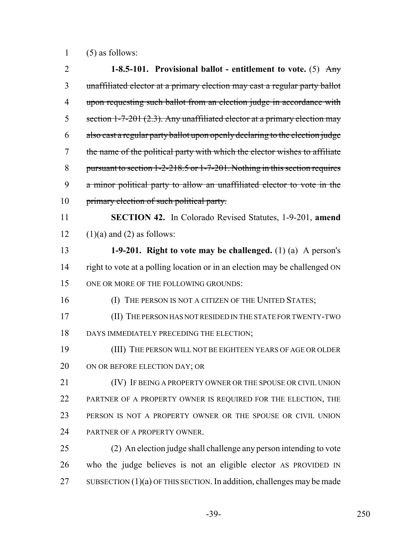1 (5) as follows:

| $\overline{2}$ | 1-8.5-101. Provisional ballot - entitlement to vote. (5) $\text{Any}$           |
|----------------|---------------------------------------------------------------------------------|
| 3              | unaffiliated elector at a primary election may cast a regular party ballot      |
| $\overline{4}$ | upon requesting such ballot from an election judge in accordance with           |
| 5              | section 1-7-201 (2.3). Any unaffiliated elector at a primary election may       |
| 6              | also cast a regular party ballot upon openly declaring to the election judge    |
| 7              | the name of the political party with which the elector wishes to affiliate      |
| 8              | pursuant to section $1-2-218.5$ or $1-7-201$ . Nothing in this section requires |
| 9              | a minor political party to allow an unaffiliated elector to vote in the         |
| 10             | primary election of such political party.                                       |
| 11             | <b>SECTION 42.</b> In Colorado Revised Statutes, 1-9-201, amend                 |
| 12             | $(1)(a)$ and $(2)$ as follows:                                                  |
| 13             | 1-9-201. Right to vote may be challenged. $(1)$ (a) A person's                  |
| 14             | right to vote at a polling location or in an election may be challenged ON      |
| 15             | ONE OR MORE OF THE FOLLOWING GROUNDS:                                           |
| 16             | (I) THE PERSON IS NOT A CITIZEN OF THE UNITED STATES;                           |
| 17             | (II) THE PERSON HAS NOT RESIDED IN THE STATE FOR TWENTY-TWO                     |
| 18             | DAYS IMMEDIATELY PRECEDING THE ELECTION;                                        |
| 19             | (III) THE PERSON WILL NOT BE EIGHTEEN YEARS OF AGE OR OLDER                     |
| 20             | ON OR BEFORE ELECTION DAY; OR                                                   |
| 21             | (IV) IF BEING A PROPERTY OWNER OR THE SPOUSE OR CIVIL UNION                     |
| 22             | PARTNER OF A PROPERTY OWNER IS REQUIRED FOR THE ELECTION, THE                   |
| 23             | PERSON IS NOT A PROPERTY OWNER OR THE SPOUSE OR CIVIL UNION                     |
| 24             | PARTNER OF A PROPERTY OWNER.                                                    |
| 25             | (2) An election judge shall challenge any person intending to vote              |
| 26             | who the judge believes is not an eligible elector AS PROVIDED IN                |
| 27             | SUBSECTION $(1)(a)$ OF THIS SECTION. In addition, challenges may be made        |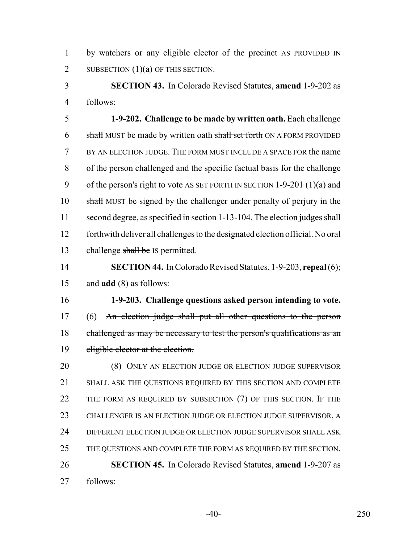by watchers or any eligible elector of the precinct AS PROVIDED IN 2 SUBSECTION  $(1)(a)$  OF THIS SECTION.

 **SECTION 43.** In Colorado Revised Statutes, **amend** 1-9-202 as follows:

 **1-9-202. Challenge to be made by written oath.** Each challenge 6 shall MUST be made by written oath shall set forth ON A FORM PROVIDED BY AN ELECTION JUDGE. THE FORM MUST INCLUDE A SPACE FOR the name of the person challenged and the specific factual basis for the challenge of the person's right to vote AS SET FORTH IN SECTION 1-9-201 (1)(a) and 10 shall MUST be signed by the challenger under penalty of perjury in the second degree, as specified in section 1-13-104. The election judges shall forthwith deliver all challenges to the designated election official. No oral 13 challenge shall be IS permitted.

 **SECTION 44.** In Colorado Revised Statutes, 1-9-203, **repeal** (6); and **add** (8) as follows:

 **1-9-203. Challenge questions asked person intending to vote.** (6) An election judge shall put all other questions to the person 18 challenged as may be necessary to test the person's qualifications as an 19 eligible elector at the election.

 (8) ONLY AN ELECTION JUDGE OR ELECTION JUDGE SUPERVISOR SHALL ASK THE QUESTIONS REQUIRED BY THIS SECTION AND COMPLETE 22 THE FORM AS REQUIRED BY SUBSECTION (7) OF THIS SECTION. IF THE CHALLENGER IS AN ELECTION JUDGE OR ELECTION JUDGE SUPERVISOR, A DIFFERENT ELECTION JUDGE OR ELECTION JUDGE SUPERVISOR SHALL ASK THE QUESTIONS AND COMPLETE THE FORM AS REQUIRED BY THE SECTION. **SECTION 45.** In Colorado Revised Statutes, **amend** 1-9-207 as follows: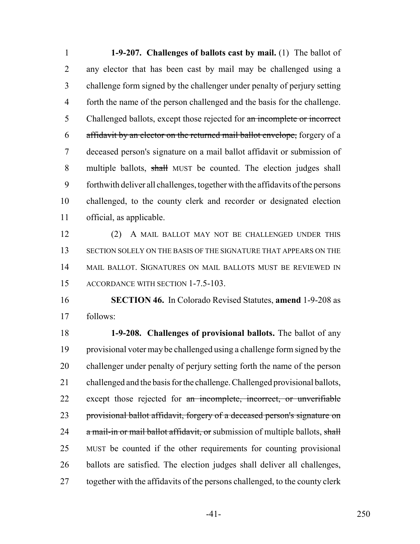**1-9-207. Challenges of ballots cast by mail.** (1) The ballot of any elector that has been cast by mail may be challenged using a challenge form signed by the challenger under penalty of perjury setting forth the name of the person challenged and the basis for the challenge. 5 Challenged ballots, except those rejected for an incomplete or incorrect 6 affidavit by an elector on the returned mail ballot envelope, forgery of a deceased person's signature on a mail ballot affidavit or submission of 8 multiple ballots, shall MUST be counted. The election judges shall forthwith deliver all challenges, together with the affidavits of the persons challenged, to the county clerk and recorder or designated election official, as applicable.

 (2) A MAIL BALLOT MAY NOT BE CHALLENGED UNDER THIS SECTION SOLELY ON THE BASIS OF THE SIGNATURE THAT APPEARS ON THE MAIL BALLOT. SIGNATURES ON MAIL BALLOTS MUST BE REVIEWED IN ACCORDANCE WITH SECTION 1-7.5-103.

 **SECTION 46.** In Colorado Revised Statutes, **amend** 1-9-208 as follows:

 **1-9-208. Challenges of provisional ballots.** The ballot of any provisional voter may be challenged using a challenge form signed by the challenger under penalty of perjury setting forth the name of the person challenged and the basis for the challenge. Challenged provisional ballots, 22 except those rejected for an incomplete, incorrect, or unverifiable 23 provisional ballot affidavit, forgery of a deceased person's signature on  $\alpha$  mail-in or mail ballot affidavit, or submission of multiple ballots, shall MUST be counted if the other requirements for counting provisional ballots are satisfied. The election judges shall deliver all challenges, 27 together with the affidavits of the persons challenged, to the county clerk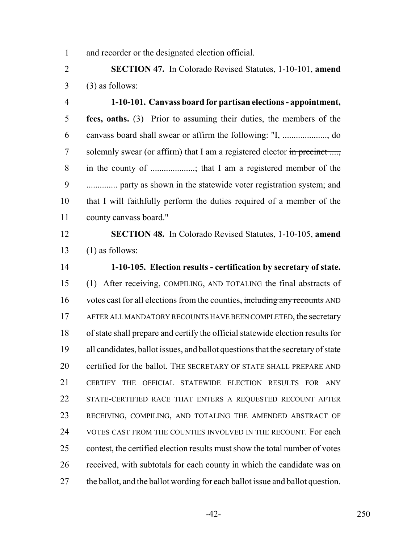and recorder or the designated election official.

 **SECTION 47.** In Colorado Revised Statutes, 1-10-101, **amend**  $3 \qquad (3)$  as follows:

 **1-10-101. Canvass board for partisan elections - appointment, fees, oaths.** (3) Prior to assuming their duties, the members of the canvass board shall swear or affirm the following: "I, ...................., do 7 solemnly swear (or affirm) that I am a registered elector in precinct ...., in the county of ....................; that I am a registered member of the .............. party as shown in the statewide voter registration system; and that I will faithfully perform the duties required of a member of the county canvass board."

 **SECTION 48.** In Colorado Revised Statutes, 1-10-105, **amend** 13  $(1)$  as follows:

 **1-10-105. Election results - certification by secretary of state.** (1) After receiving, COMPILING, AND TOTALING the final abstracts of 16 votes cast for all elections from the counties, including any recounts AND AFTER ALL MANDATORY RECOUNTS HAVE BEEN COMPLETED, the secretary of state shall prepare and certify the official statewide election results for all candidates, ballot issues, and ballot questions that the secretary of state certified for the ballot. THE SECRETARY OF STATE SHALL PREPARE AND CERTIFY THE OFFICIAL STATEWIDE ELECTION RESULTS FOR ANY STATE-CERTIFIED RACE THAT ENTERS A REQUESTED RECOUNT AFTER RECEIVING, COMPILING, AND TOTALING THE AMENDED ABSTRACT OF VOTES CAST FROM THE COUNTIES INVOLVED IN THE RECOUNT. For each contest, the certified election results must show the total number of votes received, with subtotals for each county in which the candidate was on 27 the ballot, and the ballot wording for each ballot issue and ballot question.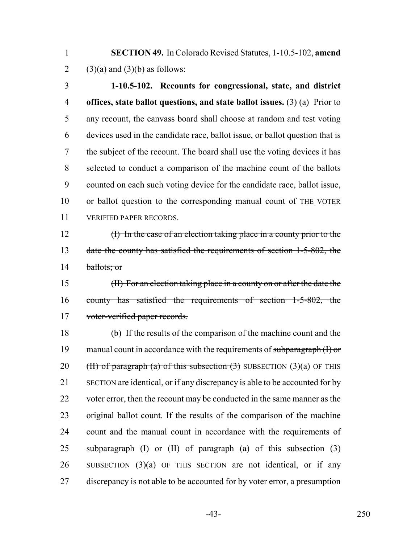**SECTION 49.** In Colorado Revised Statutes, 1-10.5-102, **amend** 2 (3)(a) and (3)(b) as follows:

 **1-10.5-102. Recounts for congressional, state, and district offices, state ballot questions, and state ballot issues.** (3) (a) Prior to any recount, the canvass board shall choose at random and test voting devices used in the candidate race, ballot issue, or ballot question that is the subject of the recount. The board shall use the voting devices it has selected to conduct a comparison of the machine count of the ballots counted on each such voting device for the candidate race, ballot issue, or ballot question to the corresponding manual count of THE VOTER VERIFIED PAPER RECORDS.

 (I) In the case of an election taking place in a county prior to the 13 date the county has satisfied the requirements of section 1-5-802, the 14 ballots; or

 (II) For an election taking place in a county on or after the date the county has satisfied the requirements of section 1-5-802, the 17 voter-verified paper records.

 (b) If the results of the comparison of the machine count and the 19 manual count in accordance with the requirements of subparagraph  $(1)$  or 20 (H) of paragraph (a) of this subsection  $(3)$  SUBSECTION  $(3)(a)$  OF THIS SECTION are identical, or if any discrepancy is able to be accounted for by 22 voter error, then the recount may be conducted in the same manner as the original ballot count. If the results of the comparison of the machine count and the manual count in accordance with the requirements of 25 subparagraph  $(I)$  or  $(II)$  of paragraph  $(a)$  of this subsection  $(3)$  SUBSECTION (3)(a) OF THIS SECTION are not identical, or if any discrepancy is not able to be accounted for by voter error, a presumption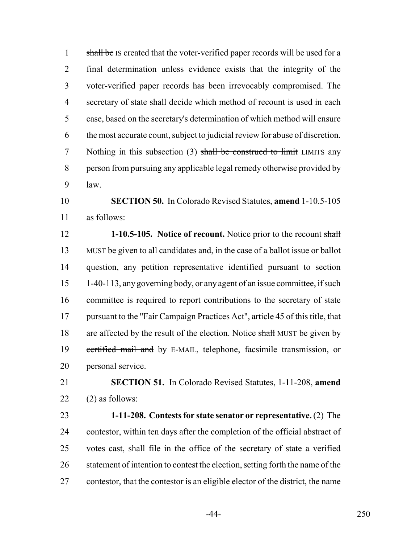1 shall be IS created that the voter-verified paper records will be used for a final determination unless evidence exists that the integrity of the voter-verified paper records has been irrevocably compromised. The secretary of state shall decide which method of recount is used in each case, based on the secretary's determination of which method will ensure the most accurate count, subject to judicial review for abuse of discretion. 7 Nothing in this subsection (3) shall be construed to limit LIMITS any person from pursuing any applicable legal remedy otherwise provided by law.

 **SECTION 50.** In Colorado Revised Statutes, **amend** 1-10.5-105 as follows:

 **1-10.5-105. Notice of recount.** Notice prior to the recount shall MUST be given to all candidates and, in the case of a ballot issue or ballot question, any petition representative identified pursuant to section 1-40-113, any governing body, or any agent of an issue committee, if such committee is required to report contributions to the secretary of state pursuant to the "Fair Campaign Practices Act", article 45 of this title, that 18 are affected by the result of the election. Notice shall MUST be given by 19 certified mail and by E-MAIL, telephone, facsimile transmission, or personal service.

 **SECTION 51.** In Colorado Revised Statutes, 1-11-208, **amend** (2) as follows:

 **1-11-208. Contests for state senator or representative.** (2) The contestor, within ten days after the completion of the official abstract of votes cast, shall file in the office of the secretary of state a verified 26 statement of intention to contest the election, setting forth the name of the contestor, that the contestor is an eligible elector of the district, the name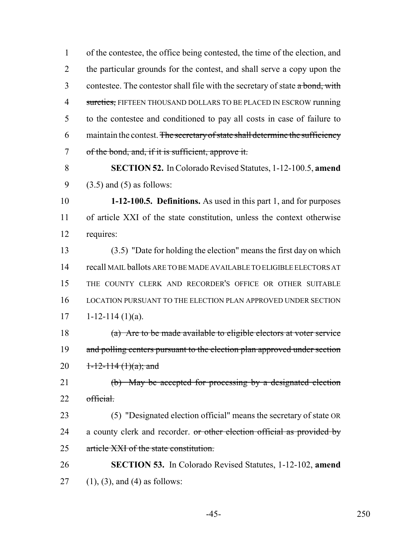1 of the contestee, the office being contested, the time of the election, and 2 the particular grounds for the contest, and shall serve a copy upon the 3 contestee. The contestor shall file with the secretary of state a bond, with 4 sureties, FIFTEEN THOUSAND DOLLARS TO BE PLACED IN ESCROW running 5 to the contestee and conditioned to pay all costs in case of failure to 6 maintain the contest. The secretary of state shall determine the sufficiency 7 of the bond, and, if it is sufficient, approve it.

8 **SECTION 52.** In Colorado Revised Statutes, 1-12-100.5, **amend** 9  $(3.5)$  and  $(5)$  as follows:

10 **1-12-100.5. Definitions.** As used in this part 1, and for purposes 11 of article XXI of the state constitution, unless the context otherwise 12 requires:

 (3.5) "Date for holding the election" means the first day on which recall MAIL ballots ARE TO BE MADE AVAILABLE TO ELIGIBLE ELECTORS AT THE COUNTY CLERK AND RECORDER'S OFFICE OR OTHER SUITABLE LOCATION PURSUANT TO THE ELECTION PLAN APPROVED UNDER SECTION  $17 \qquad 1-12-114 \; (1)(a).$ 

18 (a) Are to be made available to eligible electors at voter service 19 and polling centers pursuant to the election plan approved under section 20  $1-12-114(1)(a)$ ; and

21 (b) May be accepted for processing by a designated election 22 official.

23 (5) "Designated election official" means the secretary of state OR 24 a county clerk and recorder. or other election official as provided by 25 article XXI of the state constitution.

26 **SECTION 53.** In Colorado Revised Statutes, 1-12-102, **amend**  $27$  (1), (3), and (4) as follows: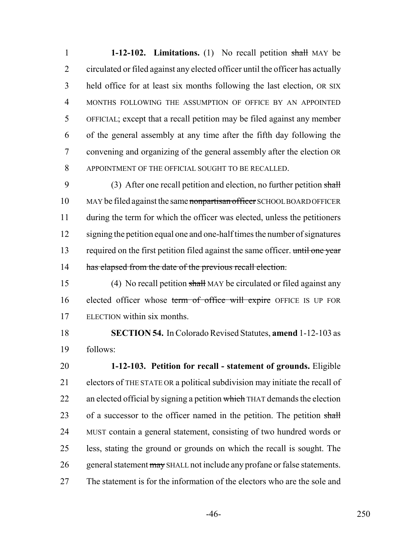**1-12-102. Limitations.** (1) No recall petition shall MAY be circulated or filed against any elected officer until the officer has actually held office for at least six months following the last election, OR SIX MONTHS FOLLOWING THE ASSUMPTION OF OFFICE BY AN APPOINTED OFFICIAL; except that a recall petition may be filed against any member of the general assembly at any time after the fifth day following the convening and organizing of the general assembly after the election OR APPOINTMENT OF THE OFFICIAL SOUGHT TO BE RECALLED.

9 (3) After one recall petition and election, no further petition shall 10 MAY be filed against the same nonpartisan officer SCHOOL BOARD OFFICER during the term for which the officer was elected, unless the petitioners signing the petition equal one and one-half times the number of signatures 13 required on the first petition filed against the same officer. until one year 14 has elapsed from the date of the previous recall election.

15 (4) No recall petition shall MAY be circulated or filed against any 16 elected officer whose term of office will expire OFFICE IS UP FOR ELECTION within six months.

 **SECTION 54.** In Colorado Revised Statutes, **amend** 1-12-103 as follows:

 **1-12-103. Petition for recall - statement of grounds.** Eligible electors of THE STATE OR a political subdivision may initiate the recall of 22 an elected official by signing a petition which THAT demands the election 23 of a successor to the officer named in the petition. The petition shall MUST contain a general statement, consisting of two hundred words or less, stating the ground or grounds on which the recall is sought. The 26 general statement may SHALL not include any profane or false statements. The statement is for the information of the electors who are the sole and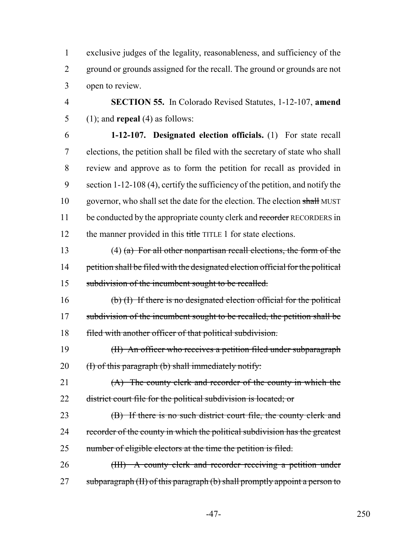1 exclusive judges of the legality, reasonableness, and sufficiency of the 2 ground or grounds assigned for the recall. The ground or grounds are not 3 open to review.

4 **SECTION 55.** In Colorado Revised Statutes, 1-12-107, **amend** 5 (1); and **repeal** (4) as follows:

6 **1-12-107. Designated election officials.** (1) For state recall 7 elections, the petition shall be filed with the secretary of state who shall 8 review and approve as to form the petition for recall as provided in 9 section 1-12-108 (4), certify the sufficiency of the petition, and notify the 10 governor, who shall set the date for the election. The election shall MUST 11 be conducted by the appropriate county clerk and recorder RECORDERS in 12 the manner provided in this title TITLE 1 for state elections.

13 (4) (a) For all other nonpartisan recall elections, the form of the 14 petition shall be filed with the designated election official for the political 15 subdivision of the incumbent sought to be recalled.

16 (b) (I) If there is no designated election official for the political 17 subdivision of the incumbent sought to be recalled, the petition shall be 18 filed with another officer of that political subdivision.

19 (II) An officer who receives a petition filed under subparagraph 20  $\qquad$  (I) of this paragraph (b) shall immediately notify:

21 (A) The county clerk and recorder of the county in which the 22 district court file for the political subdivision is located; or

23 (B) If there is no such district court file, the county clerk and 24 recorder of the county in which the political subdivision has the greatest 25 number of eligible electors at the time the petition is filed.

26 (III) A county clerk and recorder receiving a petition under 27 subparagraph (II) of this paragraph (b) shall promptly appoint a person to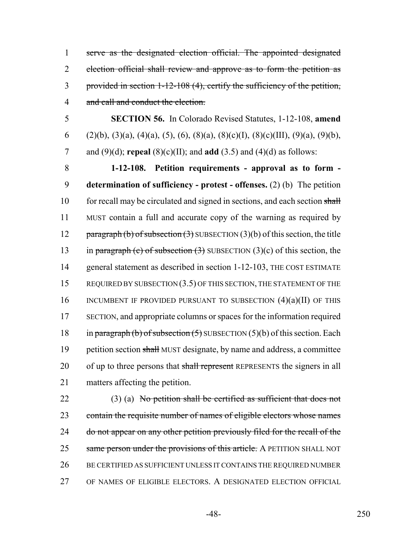serve as the designated election official. The appointed designated election official shall review and approve as to form the petition as provided in section 1-12-108 (4), certify the sufficiency of the petition, 4 and call and conduct the election.

5 **SECTION 56.** In Colorado Revised Statutes, 1-12-108, **amend** 6 (2)(b), (3)(a), (4)(a), (5), (6), (8)(a), (8)(c)(I), (8)(c)(III), (9)(a), (9)(b), 7 and (9)(d); **repeal** (8)(c)(II); and **add** (3.5) and (4)(d) as follows:

8 **1-12-108. Petition requirements - approval as to form -** 9 **determination of sufficiency - protest - offenses.** (2) (b) The petition 10 for recall may be circulated and signed in sections, and each section shall 11 MUST contain a full and accurate copy of the warning as required by 12 paragraph (b) of subsection  $(3)$  SUBSECTION  $(3)(b)$  of this section, the title 13 in paragraph (c) of subsection  $(3)$  SUBSECTION  $(3)(c)$  of this section, the 14 general statement as described in section 1-12-103, THE COST ESTIMATE 15 REQUIRED BY SUBSECTION (3.5) OF THIS SECTION, THE STATEMENT OF THE 16 INCUMBENT IF PROVIDED PURSUANT TO SUBSECTION  $(4)(a)(II)$  of this 17 SECTION, and appropriate columns or spaces for the information required 18 in paragraph (b) of subsection  $(5)$  SUBSECTION  $(5)(b)$  of this section. Each 19 petition section shall MUST designate, by name and address, a committee 20 of up to three persons that shall represent REPRESENTS the signers in all 21 matters affecting the petition.

22 (3) (a) No petition shall be certified as sufficient that does not 23 contain the requisite number of names of eligible electors whose names 24 do not appear on any other petition previously filed for the recall of the 25 same person under the provisions of this article. A PETITION SHALL NOT 26 BE CERTIFIED AS SUFFICIENT UNLESS IT CONTAINS THE REQUIRED NUMBER 27 OF NAMES OF ELIGIBLE ELECTORS. A DESIGNATED ELECTION OFFICIAL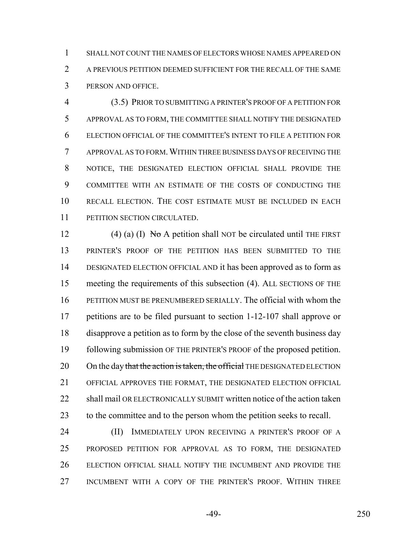SHALL NOT COUNT THE NAMES OF ELECTORS WHOSE NAMES APPEARED ON A PREVIOUS PETITION DEEMED SUFFICIENT FOR THE RECALL OF THE SAME PERSON AND OFFICE.

 (3.5) PRIOR TO SUBMITTING A PRINTER'S PROOF OF A PETITION FOR APPROVAL AS TO FORM, THE COMMITTEE SHALL NOTIFY THE DESIGNATED ELECTION OFFICIAL OF THE COMMITTEE'S INTENT TO FILE A PETITION FOR APPROVAL AS TO FORM.WITHIN THREE BUSINESS DAYS OF RECEIVING THE NOTICE, THE DESIGNATED ELECTION OFFICIAL SHALL PROVIDE THE COMMITTEE WITH AN ESTIMATE OF THE COSTS OF CONDUCTING THE RECALL ELECTION. THE COST ESTIMATE MUST BE INCLUDED IN EACH 11 PETITION SECTION CIRCULATED.

12 (4) (a) (I) No A petition shall NOT be circulated until THE FIRST PRINTER'S PROOF OF THE PETITION HAS BEEN SUBMITTED TO THE DESIGNATED ELECTION OFFICIAL AND it has been approved as to form as meeting the requirements of this subsection (4). ALL SECTIONS OF THE PETITION MUST BE PRENUMBERED SERIALLY. The official with whom the petitions are to be filed pursuant to section 1-12-107 shall approve or disapprove a petition as to form by the close of the seventh business day following submission OF THE PRINTER'S PROOF of the proposed petition. 20 On the day that the action is taken, the official THE DESIGNATED ELECTION OFFICIAL APPROVES THE FORMAT, THE DESIGNATED ELECTION OFFICIAL 22 shall mail OR ELECTRONICALLY SUBMIT written notice of the action taken to the committee and to the person whom the petition seeks to recall.

**(II)** IMMEDIATELY UPON RECEIVING A PRINTER'S PROOF OF A PROPOSED PETITION FOR APPROVAL AS TO FORM, THE DESIGNATED ELECTION OFFICIAL SHALL NOTIFY THE INCUMBENT AND PROVIDE THE INCUMBENT WITH A COPY OF THE PRINTER'S PROOF. WITHIN THREE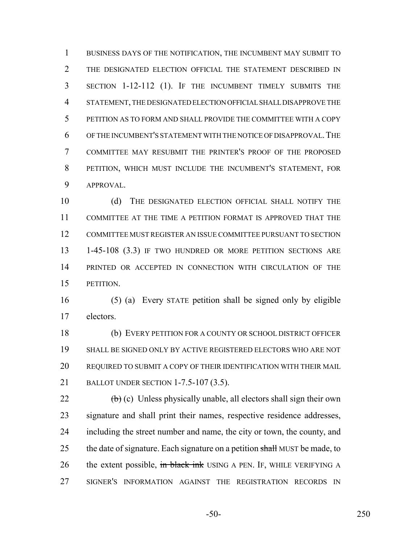BUSINESS DAYS OF THE NOTIFICATION, THE INCUMBENT MAY SUBMIT TO 2 THE DESIGNATED ELECTION OFFICIAL THE STATEMENT DESCRIBED IN SECTION 1-12-112 (1). IF THE INCUMBENT TIMELY SUBMITS THE STATEMENT, THE DESIGNATED ELECTION OFFICIAL SHALL DISAPPROVE THE PETITION AS TO FORM AND SHALL PROVIDE THE COMMITTEE WITH A COPY OF THE INCUMBENT'S STATEMENT WITH THE NOTICE OF DISAPPROVAL.THE COMMITTEE MAY RESUBMIT THE PRINTER'S PROOF OF THE PROPOSED PETITION, WHICH MUST INCLUDE THE INCUMBENT'S STATEMENT, FOR APPROVAL.

 (d) THE DESIGNATED ELECTION OFFICIAL SHALL NOTIFY THE COMMITTEE AT THE TIME A PETITION FORMAT IS APPROVED THAT THE COMMITTEE MUST REGISTER AN ISSUE COMMITTEE PURSUANT TO SECTION 13 1-45-108 (3.3) IF TWO HUNDRED OR MORE PETITION SECTIONS ARE PRINTED OR ACCEPTED IN CONNECTION WITH CIRCULATION OF THE PETITION.

 (5) (a) Every STATE petition shall be signed only by eligible electors.

 (b) EVERY PETITION FOR A COUNTY OR SCHOOL DISTRICT OFFICER SHALL BE SIGNED ONLY BY ACTIVE REGISTERED ELECTORS WHO ARE NOT REQUIRED TO SUBMIT A COPY OF THEIR IDENTIFICATION WITH THEIR MAIL BALLOT UNDER SECTION 1-7.5-107 (3.5).

 $\left(\frac{b}{c}\right)$  (c) Unless physically unable, all electors shall sign their own signature and shall print their names, respective residence addresses, including the street number and name, the city or town, the county, and 25 the date of signature. Each signature on a petition shall MUST be made, to 26 the extent possible, in black ink USING A PEN. IF, WHILE VERIFYING A SIGNER'S INFORMATION AGAINST THE REGISTRATION RECORDS IN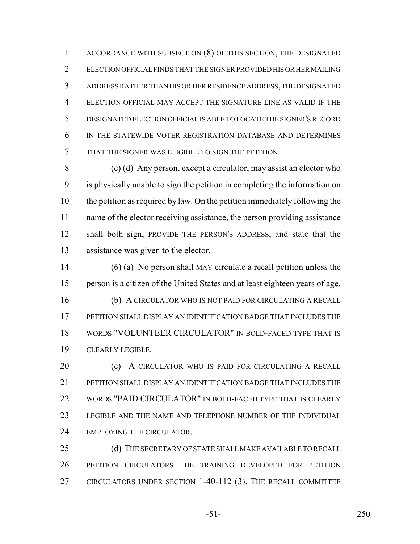ACCORDANCE WITH SUBSECTION (8) OF THIS SECTION, THE DESIGNATED ELECTION OFFICIAL FINDS THAT THE SIGNER PROVIDED HIS OR HER MAILING ADDRESS RATHER THAN HIS OR HER RESIDENCE ADDRESS, THE DESIGNATED ELECTION OFFICIAL MAY ACCEPT THE SIGNATURE LINE AS VALID IF THE DESIGNATED ELECTION OFFICIAL IS ABLE TO LOCATE THE SIGNER'S RECORD IN THE STATEWIDE VOTER REGISTRATION DATABASE AND DETERMINES THAT THE SIGNER WAS ELIGIBLE TO SIGN THE PETITION.

 $\left(\frac{e}{c}\right)$  (d) Any person, except a circulator, may assist an elector who is physically unable to sign the petition in completing the information on the petition as required by law. On the petition immediately following the name of the elector receiving assistance, the person providing assistance 12 shall both sign, PROVIDE THE PERSON'S ADDRESS, and state that the assistance was given to the elector.

14 (6) (a) No person shall MAY circulate a recall petition unless the person is a citizen of the United States and at least eighteen years of age. (b) A CIRCULATOR WHO IS NOT PAID FOR CIRCULATING A RECALL PETITION SHALL DISPLAY AN IDENTIFICATION BADGE THAT INCLUDES THE WORDS "VOLUNTEER CIRCULATOR" IN BOLD-FACED TYPE THAT IS CLEARLY LEGIBLE.

**(c)** A CIRCULATOR WHO IS PAID FOR CIRCULATING A RECALL PETITION SHALL DISPLAY AN IDENTIFICATION BADGE THAT INCLUDES THE 22 WORDS "PAID CIRCULATOR" IN BOLD-FACED TYPE THAT IS CLEARLY LEGIBLE AND THE NAME AND TELEPHONE NUMBER OF THE INDIVIDUAL 24 EMPLOYING THE CIRCULATOR.

25 (d) THE SECRETARY OF STATE SHALL MAKE AVAILABLE TO RECALL PETITION CIRCULATORS THE TRAINING DEVELOPED FOR PETITION CIRCULATORS UNDER SECTION 1-40-112 (3). THE RECALL COMMITTEE

-51- 250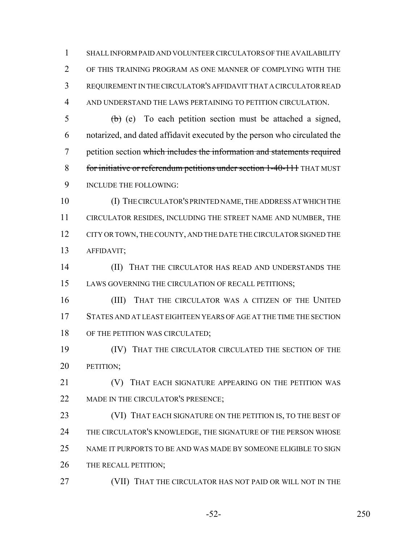SHALL INFORM PAID AND VOLUNTEER CIRCULATORS OF THE AVAILABILITY OF THIS TRAINING PROGRAM AS ONE MANNER OF COMPLYING WITH THE REQUIREMENT IN THE CIRCULATOR'S AFFIDAVIT THAT A CIRCULATOR READ AND UNDERSTAND THE LAWS PERTAINING TO PETITION CIRCULATION.

 $\frac{1}{2}$  (b) (e) To each petition section must be attached a signed, notarized, and dated affidavit executed by the person who circulated the petition section which includes the information and statements required for initiative or referendum petitions under section 1-40-111 THAT MUST INCLUDE THE FOLLOWING:

 (I) THE CIRCULATOR'S PRINTED NAME, THE ADDRESS AT WHICH THE CIRCULATOR RESIDES, INCLUDING THE STREET NAME AND NUMBER, THE 12 CITY OR TOWN, THE COUNTY, AND THE DATE THE CIRCULATOR SIGNED THE AFFIDAVIT;

**(II) THAT THE CIRCULATOR HAS READ AND UNDERSTANDS THE** LAWS GOVERNING THE CIRCULATION OF RECALL PETITIONS;

16 (III) THAT THE CIRCULATOR WAS A CITIZEN OF THE UNITED STATES AND AT LEAST EIGHTEEN YEARS OF AGE AT THE TIME THE SECTION 18 OF THE PETITION WAS CIRCULATED;

 (IV) THAT THE CIRCULATOR CIRCULATED THE SECTION OF THE **PETITION**;

**(V)** THAT EACH SIGNATURE APPEARING ON THE PETITION WAS 22 MADE IN THE CIRCULATOR'S PRESENCE;

23 (VI) THAT EACH SIGNATURE ON THE PETITION IS, TO THE BEST OF THE CIRCULATOR'S KNOWLEDGE, THE SIGNATURE OF THE PERSON WHOSE NAME IT PURPORTS TO BE AND WAS MADE BY SOMEONE ELIGIBLE TO SIGN 26 THE RECALL PETITION;

(VII) THAT THE CIRCULATOR HAS NOT PAID OR WILL NOT IN THE

-52- 250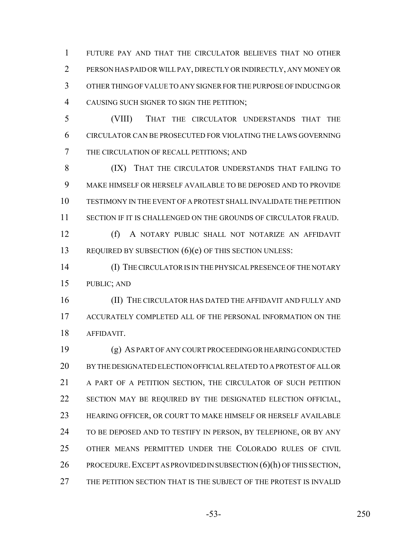FUTURE PAY AND THAT THE CIRCULATOR BELIEVES THAT NO OTHER PERSON HAS PAID OR WILL PAY, DIRECTLY OR INDIRECTLY, ANY MONEY OR OTHER THING OF VALUE TO ANY SIGNER FOR THE PURPOSE OF INDUCING OR CAUSING SUCH SIGNER TO SIGN THE PETITION;

 (VIII) THAT THE CIRCULATOR UNDERSTANDS THAT THE CIRCULATOR CAN BE PROSECUTED FOR VIOLATING THE LAWS GOVERNING THE CIRCULATION OF RECALL PETITIONS; AND

8 (IX) THAT THE CIRCULATOR UNDERSTANDS THAT FAILING TO MAKE HIMSELF OR HERSELF AVAILABLE TO BE DEPOSED AND TO PROVIDE TESTIMONY IN THE EVENT OF A PROTEST SHALL INVALIDATE THE PETITION SECTION IF IT IS CHALLENGED ON THE GROUNDS OF CIRCULATOR FRAUD.

 (f) A NOTARY PUBLIC SHALL NOT NOTARIZE AN AFFIDAVIT 13 REQUIRED BY SUBSECTION (6)(e) OF THIS SECTION UNLESS:

 (I) THE CIRCULATOR IS IN THE PHYSICAL PRESENCE OF THE NOTARY PUBLIC; AND

 (II) THE CIRCULATOR HAS DATED THE AFFIDAVIT AND FULLY AND ACCURATELY COMPLETED ALL OF THE PERSONAL INFORMATION ON THE AFFIDAVIT.

 (g) AS PART OF ANY COURT PROCEEDING OR HEARING CONDUCTED BY THE DESIGNATED ELECTION OFFICIAL RELATED TO A PROTEST OF ALL OR A PART OF A PETITION SECTION, THE CIRCULATOR OF SUCH PETITION SECTION MAY BE REQUIRED BY THE DESIGNATED ELECTION OFFICIAL, HEARING OFFICER, OR COURT TO MAKE HIMSELF OR HERSELF AVAILABLE 24 TO BE DEPOSED AND TO TESTIFY IN PERSON, BY TELEPHONE, OR BY ANY OTHER MEANS PERMITTED UNDER THE COLORADO RULES OF CIVIL 26 PROCEDURE. EXCEPT AS PROVIDED IN SUBSECTION (6)(h) OF THIS SECTION, THE PETITION SECTION THAT IS THE SUBJECT OF THE PROTEST IS INVALID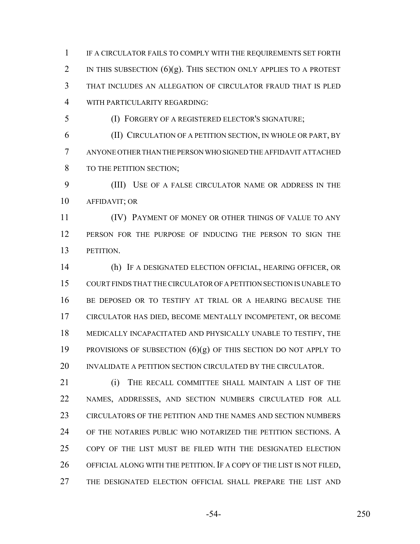IF A CIRCULATOR FAILS TO COMPLY WITH THE REQUIREMENTS SET FORTH 2 IN THIS SUBSECTION  $(6)(g)$ . This section only applies to a protest THAT INCLUDES AN ALLEGATION OF CIRCULATOR FRAUD THAT IS PLED WITH PARTICULARITY REGARDING:

(I) FORGERY OF A REGISTERED ELECTOR'S SIGNATURE;

 (II) CIRCULATION OF A PETITION SECTION, IN WHOLE OR PART, BY ANYONE OTHER THAN THE PERSON WHO SIGNED THE AFFIDAVIT ATTACHED 8 TO THE PETITION SECTION;

 (III) USE OF A FALSE CIRCULATOR NAME OR ADDRESS IN THE AFFIDAVIT; OR

**Internal CIV** PAYMENT OF MONEY OR OTHER THINGS OF VALUE TO ANY PERSON FOR THE PURPOSE OF INDUCING THE PERSON TO SIGN THE PETITION.

 (h) IF A DESIGNATED ELECTION OFFICIAL, HEARING OFFICER, OR COURT FINDS THAT THE CIRCULATOR OF A PETITION SECTION IS UNABLE TO BE DEPOSED OR TO TESTIFY AT TRIAL OR A HEARING BECAUSE THE CIRCULATOR HAS DIED, BECOME MENTALLY INCOMPETENT, OR BECOME MEDICALLY INCAPACITATED AND PHYSICALLY UNABLE TO TESTIFY, THE 19 PROVISIONS OF SUBSECTION  $(6)(g)$  of this section do not apply to 20 INVALIDATE A PETITION SECTION CIRCULATED BY THE CIRCULATOR.

**(i)** THE RECALL COMMITTEE SHALL MAINTAIN A LIST OF THE NAMES, ADDRESSES, AND SECTION NUMBERS CIRCULATED FOR ALL CIRCULATORS OF THE PETITION AND THE NAMES AND SECTION NUMBERS OF THE NOTARIES PUBLIC WHO NOTARIZED THE PETITION SECTIONS. A COPY OF THE LIST MUST BE FILED WITH THE DESIGNATED ELECTION OFFICIAL ALONG WITH THE PETITION. IF A COPY OF THE LIST IS NOT FILED, THE DESIGNATED ELECTION OFFICIAL SHALL PREPARE THE LIST AND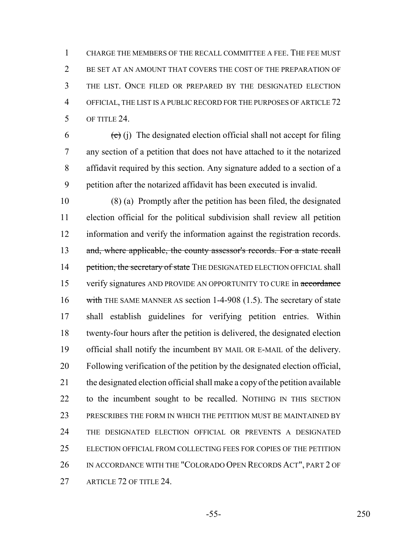CHARGE THE MEMBERS OF THE RECALL COMMITTEE A FEE. THE FEE MUST BE SET AT AN AMOUNT THAT COVERS THE COST OF THE PREPARATION OF THE LIST. ONCE FILED OR PREPARED BY THE DESIGNATED ELECTION OFFICIAL, THE LIST IS A PUBLIC RECORD FOR THE PURPOSES OF ARTICLE 72 OF TITLE 24.

 $(6)$  (i) The designated election official shall not accept for filing any section of a petition that does not have attached to it the notarized affidavit required by this section. Any signature added to a section of a petition after the notarized affidavit has been executed is invalid.

 (8) (a) Promptly after the petition has been filed, the designated election official for the political subdivision shall review all petition information and verify the information against the registration records. 13 and, where applicable, the county assessor's records. For a state recall 14 petition, the secretary of state THE DESIGNATED ELECTION OFFICIAL shall 15 verify signatures AND PROVIDE AN OPPORTUNITY TO CURE in accordance 16 with THE SAME MANNER AS section 1-4-908 (1.5). The secretary of state shall establish guidelines for verifying petition entries. Within twenty-four hours after the petition is delivered, the designated election official shall notify the incumbent BY MAIL OR E-MAIL of the delivery. Following verification of the petition by the designated election official, the designated election official shall make a copy of the petition available to the incumbent sought to be recalled. NOTHING IN THIS SECTION PRESCRIBES THE FORM IN WHICH THE PETITION MUST BE MAINTAINED BY THE DESIGNATED ELECTION OFFICIAL OR PREVENTS A DESIGNATED ELECTION OFFICIAL FROM COLLECTING FEES FOR COPIES OF THE PETITION 26 IN ACCORDANCE WITH THE "COLORADO OPEN RECORDS ACT", PART 2 OF 27 ARTICLE 72 OF TITLE 24.

-55- 250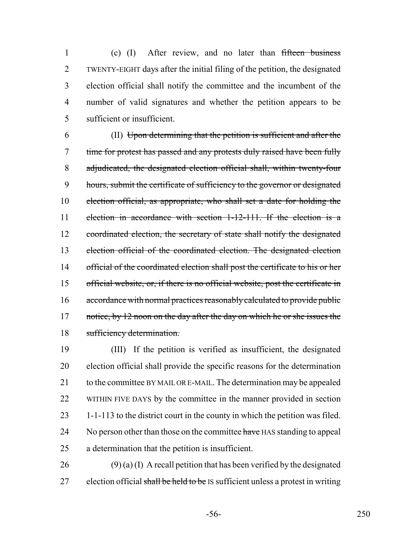(c) (I) After review, and no later than fifteen business TWENTY-EIGHT days after the initial filing of the petition, the designated election official shall notify the committee and the incumbent of the number of valid signatures and whether the petition appears to be sufficient or insufficient.

 (II) Upon determining that the petition is sufficient and after the time for protest has passed and any protests duly raised have been fully adjudicated, the designated election official shall, within twenty-four 9 hours, submit the certificate of sufficiency to the governor or designated election official, as appropriate, who shall set a date for holding the election in accordance with section 1-12-111. If the election is a 12 coordinated election, the secretary of state shall notify the designated election official of the coordinated election. The designated election 14 official of the coordinated election shall post the certificate to his or her official website, or, if there is no official website, post the certificate in accordance with normal practices reasonably calculated to provide public 17 notice, by 12 noon on the day after the day on which he or she issues the sufficiency determination.

 (III) If the petition is verified as insufficient, the designated election official shall provide the specific reasons for the determination 21 to the committee BY MAIL OR E-MAIL. The determination may be appealed WITHIN FIVE DAYS by the committee in the manner provided in section 1-1-113 to the district court in the county in which the petition was filed. 24 No person other than those on the committee have HAS standing to appeal a determination that the petition is insufficient.

 (9) (a) (I) A recall petition that has been verified by the designated 27 election official shall be held to be IS sufficient unless a protest in writing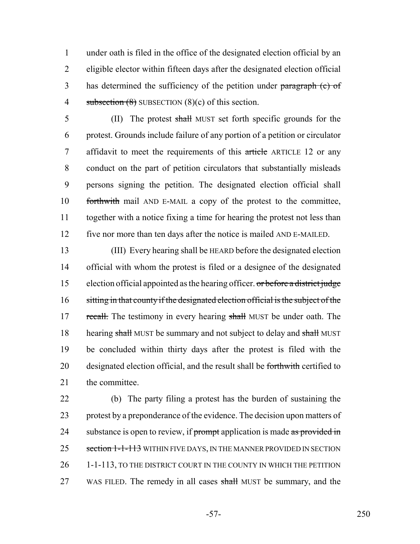1 under oath is filed in the office of the designated election official by an 2 eligible elector within fifteen days after the designated election official 3 has determined the sufficiency of the petition under paragraph (c) of 4 subsection  $(8)$  SUBSECTION  $(8)(c)$  of this section.

5 (II) The protest shall MUST set forth specific grounds for the protest. Grounds include failure of any portion of a petition or circulator 7 affidavit to meet the requirements of this article ARTICLE 12 or any conduct on the part of petition circulators that substantially misleads persons signing the petition. The designated election official shall forthwith mail AND E-MAIL a copy of the protest to the committee, together with a notice fixing a time for hearing the protest not less than five nor more than ten days after the notice is mailed AND E-MAILED.

13 (III) Every hearing shall be HEARD before the designated election 14 official with whom the protest is filed or a designee of the designated 15 election official appointed as the hearing officer. or before a district judge 16 sitting in that county if the designated election official is the subject of the 17 recall. The testimony in every hearing shall MUST be under oath. The 18 hearing shall MUST be summary and not subject to delay and shall MUST 19 be concluded within thirty days after the protest is filed with the 20 designated election official, and the result shall be forthwith certified to 21 the committee.

22 (b) The party filing a protest has the burden of sustaining the 23 protest by a preponderance of the evidence. The decision upon matters of 24 substance is open to review, if prompt application is made as provided in 25 section 1-1-113 WITHIN FIVE DAYS, IN THE MANNER PROVIDED IN SECTION 26 1-1-113, TO THE DISTRICT COURT IN THE COUNTY IN WHICH THE PETITION 27 WAS FILED. The remedy in all cases shall MUST be summary, and the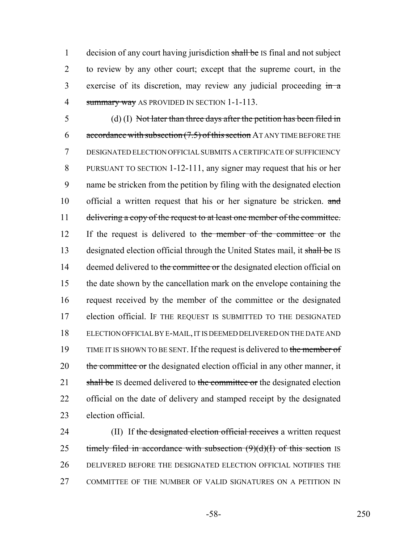1 decision of any court having jurisdiction shall be IS final and not subject 2 to review by any other court; except that the supreme court, in the 3 exercise of its discretion, may review any judicial proceeding in a 4 summary way AS PROVIDED IN SECTION 1-1-113.

5 (d) (I) Not later than three days after the petition has been filed in 6 accordance with subsection  $(7.5)$  of this section AT ANY TIME BEFORE THE 7 DESIGNATED ELECTION OFFICIAL SUBMITS A CERTIFICATE OF SUFFICIENCY 8 PURSUANT TO SECTION 1-12-111, any signer may request that his or her 9 name be stricken from the petition by filing with the designated election 10 official a written request that his or her signature be stricken. and 11 delivering a copy of the request to at least one member of the committee. 12 If the request is delivered to the member of the committee or the 13 designated election official through the United States mail, it shall be IS 14 deemed delivered to the committee or the designated election official on 15 the date shown by the cancellation mark on the envelope containing the 16 request received by the member of the committee or the designated 17 election official. IF THE REQUEST IS SUBMITTED TO THE DESIGNATED 18 ELECTION OFFICIAL BY E-MAIL, IT IS DEEMED DELIVERED ON THE DATE AND 19 TIME IT IS SHOWN TO BE SENT. If the request is delivered to the member of 20 the committee or the designated election official in any other manner, it 21 shall be IS deemed delivered to the committee or the designated election 22 official on the date of delivery and stamped receipt by the designated 23 election official.

24 (II) If the designated election official receives a written request 25 timely filed in accordance with subsection  $(9)(d)(I)$  of this section IS 26 DELIVERED BEFORE THE DESIGNATED ELECTION OFFICIAL NOTIFIES THE 27 COMMITTEE OF THE NUMBER OF VALID SIGNATURES ON A PETITION IN

-58- 250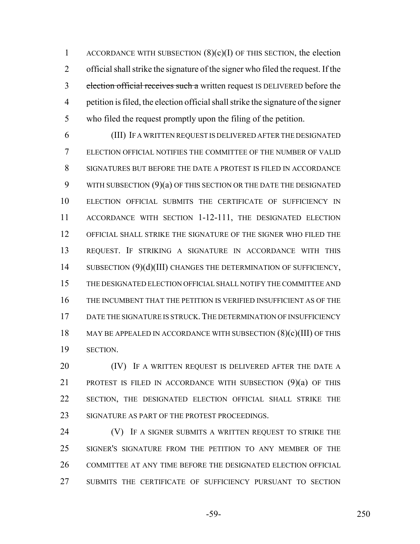1 ACCORDANCE WITH SUBSECTION  $(8)(c)(I)$  OF THIS SECTION, the election official shall strike the signature of the signer who filed the request. If the 3 election official receives such a written request IS DELIVERED before the petition is filed, the election official shall strike the signature of the signer who filed the request promptly upon the filing of the petition.

 (III) IF A WRITTEN REQUEST IS DELIVERED AFTER THE DESIGNATED ELECTION OFFICIAL NOTIFIES THE COMMITTEE OF THE NUMBER OF VALID SIGNATURES BUT BEFORE THE DATE A PROTEST IS FILED IN ACCORDANCE 9 WITH SUBSECTION (9)(a) OF THIS SECTION OR THE DATE THE DESIGNATED ELECTION OFFICIAL SUBMITS THE CERTIFICATE OF SUFFICIENCY IN ACCORDANCE WITH SECTION 1-12-111, THE DESIGNATED ELECTION OFFICIAL SHALL STRIKE THE SIGNATURE OF THE SIGNER WHO FILED THE REQUEST. IF STRIKING A SIGNATURE IN ACCORDANCE WITH THIS 14 SUBSECTION (9)(d)(III) CHANGES THE DETERMINATION OF SUFFICIENCY, THE DESIGNATED ELECTION OFFICIAL SHALL NOTIFY THE COMMITTEE AND THE INCUMBENT THAT THE PETITION IS VERIFIED INSUFFICIENT AS OF THE 17 DATE THE SIGNATURE IS STRUCK. THE DETERMINATION OF INSUFFICIENCY 18 MAY BE APPEALED IN ACCORDANCE WITH SUBSECTION  $(8)(c)(III)$  OF THIS SECTION.

**(IV)** IF A WRITTEN REQUEST IS DELIVERED AFTER THE DATE A 21 PROTEST IS FILED IN ACCORDANCE WITH SUBSECTION (9)(a) OF THIS SECTION, THE DESIGNATED ELECTION OFFICIAL SHALL STRIKE THE 23 SIGNATURE AS PART OF THE PROTEST PROCEEDINGS.

**(V)** IF A SIGNER SUBMITS A WRITTEN REQUEST TO STRIKE THE SIGNER'S SIGNATURE FROM THE PETITION TO ANY MEMBER OF THE COMMITTEE AT ANY TIME BEFORE THE DESIGNATED ELECTION OFFICIAL SUBMITS THE CERTIFICATE OF SUFFICIENCY PURSUANT TO SECTION

-59- 250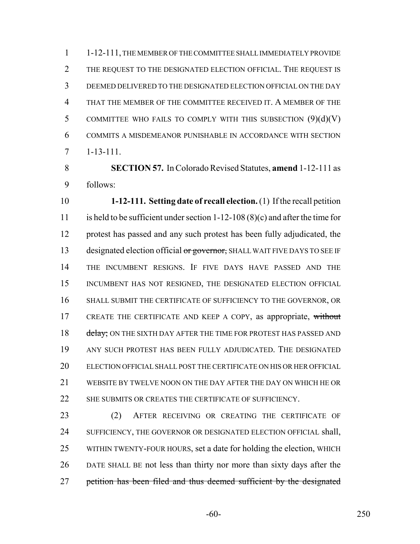1-12-111, THE MEMBER OF THE COMMITTEE SHALL IMMEDIATELY PROVIDE THE REQUEST TO THE DESIGNATED ELECTION OFFICIAL. THE REQUEST IS DEEMED DELIVERED TO THE DESIGNATED ELECTION OFFICIAL ON THE DAY THAT THE MEMBER OF THE COMMITTEE RECEIVED IT. A MEMBER OF THE 5 COMMITTEE WHO FAILS TO COMPLY WITH THIS SUBSECTION  $(9)(d)(V)$  COMMITS A MISDEMEANOR PUNISHABLE IN ACCORDANCE WITH SECTION 1-13-111.

 **SECTION 57.** In Colorado Revised Statutes, **amend** 1-12-111 as follows:

 **1-12-111. Setting date of recall election.** (1) If the recall petition is held to be sufficient under section 1-12-108 (8)(c) and after the time for protest has passed and any such protest has been fully adjudicated, the 13 designated election official or governor, SHALL WAIT FIVE DAYS TO SEE IF THE INCUMBENT RESIGNS. IF FIVE DAYS HAVE PASSED AND THE INCUMBENT HAS NOT RESIGNED, THE DESIGNATED ELECTION OFFICIAL SHALL SUBMIT THE CERTIFICATE OF SUFFICIENCY TO THE GOVERNOR, OR 17 CREATE THE CERTIFICATE AND KEEP A COPY, as appropriate, without 18 delay; ON THE SIXTH DAY AFTER THE TIME FOR PROTEST HAS PASSED AND ANY SUCH PROTEST HAS BEEN FULLY ADJUDICATED. THE DESIGNATED ELECTION OFFICIAL SHALL POST THE CERTIFICATE ON HIS OR HER OFFICIAL WEBSITE BY TWELVE NOON ON THE DAY AFTER THE DAY ON WHICH HE OR 22 SHE SUBMITS OR CREATES THE CERTIFICATE OF SUFFICIENCY.

 (2) AFTER RECEIVING OR CREATING THE CERTIFICATE OF 24 SUFFICIENCY, THE GOVERNOR OR DESIGNATED ELECTION OFFICIAL shall, WITHIN TWENTY-FOUR HOURS, set a date for holding the election, WHICH DATE SHALL BE not less than thirty nor more than sixty days after the 27 petition has been filed and thus deemed sufficient by the designated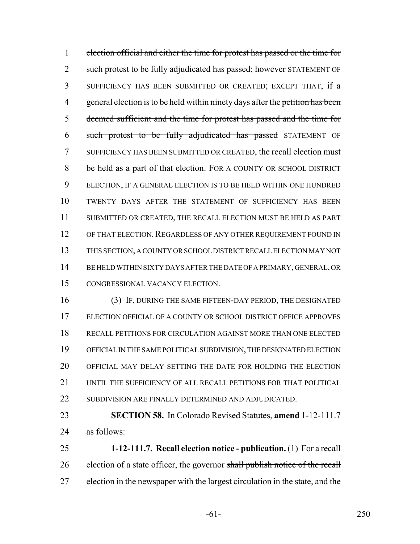election official and either the time for protest has passed or the time for 2 such protest to be fully adjudicated has passed; however STATEMENT OF SUFFICIENCY HAS BEEN SUBMITTED OR CREATED; EXCEPT THAT, if a 4 general election is to be held within ninety days after the petition has been deemed sufficient and the time for protest has passed and the time for such protest to be fully adjudicated has passed STATEMENT OF SUFFICIENCY HAS BEEN SUBMITTED OR CREATED, the recall election must be held as a part of that election. FOR A COUNTY OR SCHOOL DISTRICT ELECTION, IF A GENERAL ELECTION IS TO BE HELD WITHIN ONE HUNDRED TWENTY DAYS AFTER THE STATEMENT OF SUFFICIENCY HAS BEEN SUBMITTED OR CREATED, THE RECALL ELECTION MUST BE HELD AS PART 12 OF THAT ELECTION. REGARDLESS OF ANY OTHER REQUIREMENT FOUND IN THIS SECTION, A COUNTY OR SCHOOL DISTRICT RECALL ELECTION MAY NOT BE HELD WITHIN SIXTY DAYS AFTER THE DATE OF A PRIMARY, GENERAL, OR CONGRESSIONAL VACANCY ELECTION.

 (3) IF, DURING THE SAME FIFTEEN-DAY PERIOD, THE DESIGNATED ELECTION OFFICIAL OF A COUNTY OR SCHOOL DISTRICT OFFICE APPROVES RECALL PETITIONS FOR CIRCULATION AGAINST MORE THAN ONE ELECTED OFFICIAL IN THE SAME POLITICAL SUBDIVISION, THE DESIGNATED ELECTION OFFICIAL MAY DELAY SETTING THE DATE FOR HOLDING THE ELECTION 21 UNTIL THE SUFFICIENCY OF ALL RECALL PETITIONS FOR THAT POLITICAL 22 SUBDIVISION ARE FINALLY DETERMINED AND ADJUDICATED.

 **SECTION 58.** In Colorado Revised Statutes, **amend** 1-12-111.7 as follows:

 **1-12-111.7. Recall election notice - publication.** (1) For a recall 26 election of a state officer, the governor shall publish notice of the recall 27 election in the newspaper with the largest circulation in the state, and the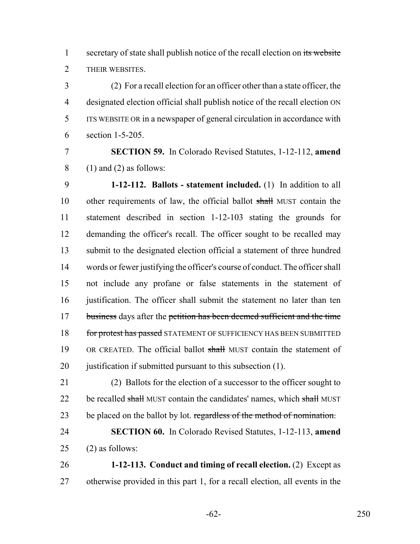1 secretary of state shall publish notice of the recall election on its website THEIR WEBSITES.

 (2) For a recall election for an officer other than a state officer, the designated election official shall publish notice of the recall election ON ITS WEBSITE OR in a newspaper of general circulation in accordance with section 1-5-205.

 **SECTION 59.** In Colorado Revised Statutes, 1-12-112, **amend** (1) and (2) as follows:

 **1-12-112. Ballots - statement included.** (1) In addition to all 10 other requirements of law, the official ballot shall MUST contain the statement described in section 1-12-103 stating the grounds for demanding the officer's recall. The officer sought to be recalled may submit to the designated election official a statement of three hundred words or fewer justifying the officer's course of conduct. The officer shall not include any profane or false statements in the statement of 16 justification. The officer shall submit the statement no later than ten 17 business days after the petition has been deemed sufficient and the time 18 for protest has passed STATEMENT OF SUFFICIENCY HAS BEEN SUBMITTED 19 OR CREATED. The official ballot shall MUST contain the statement of 20 justification if submitted pursuant to this subsection (1).

 (2) Ballots for the election of a successor to the officer sought to 22 be recalled shall MUST contain the candidates' names, which shall MUST 23 be placed on the ballot by lot. regardless of the method of nomination.

 **SECTION 60.** In Colorado Revised Statutes, 1-12-113, **amend** (2) as follows:

 **1-12-113. Conduct and timing of recall election.** (2) Except as otherwise provided in this part 1, for a recall election, all events in the

-62- 250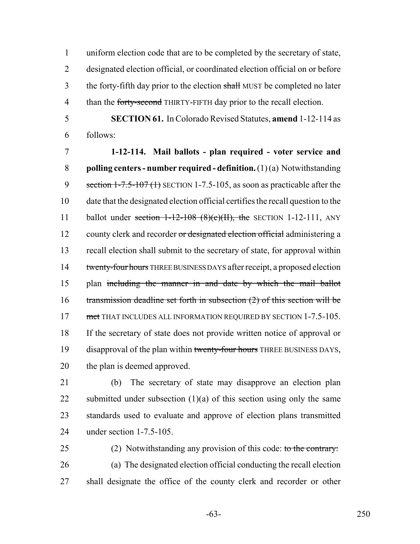uniform election code that are to be completed by the secretary of state, designated election official, or coordinated election official on or before 3 the forty-fifth day prior to the election shall MUST be completed no later 4 than the forty-second THIRTY-FIFTH day prior to the recall election.

 **SECTION 61.** In Colorado Revised Statutes, **amend** 1-12-114 as follows:

 **1-12-114. Mail ballots - plan required - voter service and polling centers - number required - definition.** (1) (a) Notwithstanding 9 section 1-7.5-107 (1) SECTION 1-7.5-105, as soon as practicable after the date that the designated election official certifies the recall question to the 11 ballot under section  $1-12-108$  (8)(c)(II), the SECTION 1-12-111, ANY 12 county clerk and recorder or designated election official administering a recall election shall submit to the secretary of state, for approval within 14 twenty-four hours THREE BUSINESS DAYS after receipt, a proposed election plan including the manner in and date by which the mail ballot transmission deadline set forth in subsection (2) of this section will be 17 met THAT INCLUDES ALL INFORMATION REQUIRED BY SECTION 1-7.5-105. If the secretary of state does not provide written notice of approval or 19 disapproval of the plan within twenty-four hours THREE BUSINESS DAYS, the plan is deemed approved.

 (b) The secretary of state may disapprove an election plan 22 submitted under subsection  $(1)(a)$  of this section using only the same standards used to evaluate and approve of election plans transmitted under section 1-7.5-105.

25 (2) Notwithstanding any provision of this code: to the contrary: (a) The designated election official conducting the recall election shall designate the office of the county clerk and recorder or other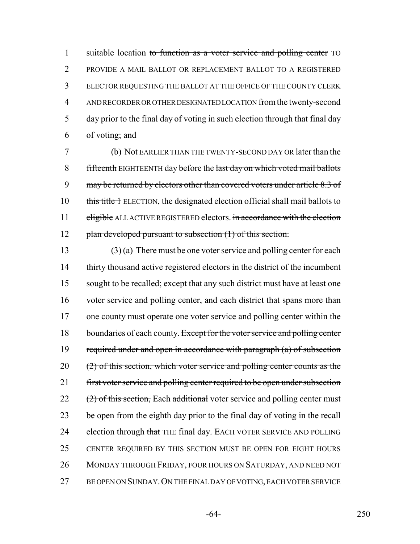1 suitable location to function as a voter service and polling center TO PROVIDE A MAIL BALLOT OR REPLACEMENT BALLOT TO A REGISTERED ELECTOR REQUESTING THE BALLOT AT THE OFFICE OF THE COUNTY CLERK AND RECORDER OR OTHER DESIGNATED LOCATION from the twenty-second day prior to the final day of voting in such election through that final day of voting; and

7 (b) Not EARLIER THAN THE TWENTY-SECOND DAY OR later than the 8 fifteenth EIGHTEENTH day before the last day on which voted mail ballots 9 may be returned by electors other than covered voters under article 8.3 of 10 this title 1 ELECTION, the designated election official shall mail ballots to 11 eligible ALL ACTIVE REGISTERED electors. in accordance with the election 12 plan developed pursuant to subsection (1) of this section.

 (3) (a) There must be one voter service and polling center for each thirty thousand active registered electors in the district of the incumbent sought to be recalled; except that any such district must have at least one voter service and polling center, and each district that spans more than 17 one county must operate one voter service and polling center within the 18 boundaries of each county. Except for the voter service and polling center 19 required under and open in accordance with paragraph (a) of subsection (2) of this section, which voter service and polling center counts as the 21 first voter service and polling center required to be open under subsection (2) of this section, Each additional voter service and polling center must be open from the eighth day prior to the final day of voting in the recall 24 election through that THE final day. EACH VOTER SERVICE AND POLLING CENTER REQUIRED BY THIS SECTION MUST BE OPEN FOR EIGHT HOURS MONDAY THROUGH FRIDAY, FOUR HOURS ON SATURDAY, AND NEED NOT BE OPEN ON SUNDAY.ON THE FINAL DAY OF VOTING, EACH VOTER SERVICE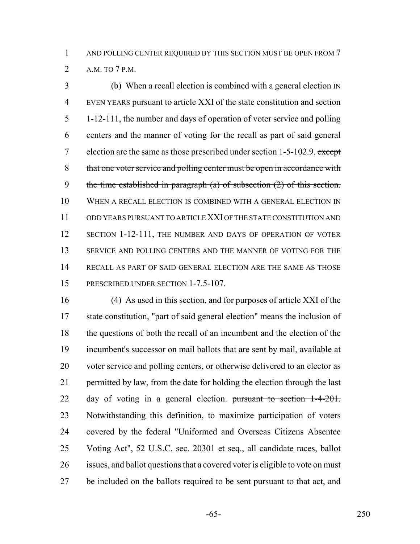(b) When a recall election is combined with a general election IN EVEN YEARS pursuant to article XXI of the state constitution and section 1-12-111, the number and days of operation of voter service and polling centers and the manner of voting for the recall as part of said general 7 election are the same as those prescribed under section  $1-5-102.9$ . except 8 that one voter service and polling center must be open in accordance with the time established in paragraph (a) of subsection (2) of this section. WHEN A RECALL ELECTION IS COMBINED WITH A GENERAL ELECTION IN ODD YEARS PURSUANT TO ARTICLE XXI OF THE STATE CONSTITUTION AND 12 SECTION 1-12-111, THE NUMBER AND DAYS OF OPERATION OF VOTER 13 SERVICE AND POLLING CENTERS AND THE MANNER OF VOTING FOR THE RECALL AS PART OF SAID GENERAL ELECTION ARE THE SAME AS THOSE 15 PRESCRIBED UNDER SECTION 1-7.5-107.

 (4) As used in this section, and for purposes of article XXI of the state constitution, "part of said general election" means the inclusion of the questions of both the recall of an incumbent and the election of the incumbent's successor on mail ballots that are sent by mail, available at voter service and polling centers, or otherwise delivered to an elector as permitted by law, from the date for holding the election through the last 22 day of voting in a general election. pursuant to section 1-4-201. Notwithstanding this definition, to maximize participation of voters covered by the federal "Uniformed and Overseas Citizens Absentee Voting Act", 52 U.S.C. sec. 20301 et seq., all candidate races, ballot issues, and ballot questions that a covered voter is eligible to vote on must 27 be included on the ballots required to be sent pursuant to that act, and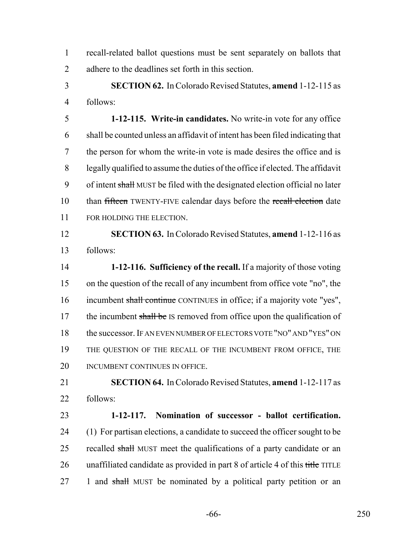recall-related ballot questions must be sent separately on ballots that adhere to the deadlines set forth in this section.

 **SECTION 62.** In Colorado Revised Statutes, **amend** 1-12-115 as follows:

 **1-12-115. Write-in candidates.** No write-in vote for any office shall be counted unless an affidavit of intent has been filed indicating that the person for whom the write-in vote is made desires the office and is legally qualified to assume the duties of the office if elected. The affidavit 9 of intent shall MUST be filed with the designated election official no later 10 than fifteen TWENTY-FIVE calendar days before the recall election date FOR HOLDING THE ELECTION.

 **SECTION 63.** In Colorado Revised Statutes, **amend** 1-12-116 as follows:

 **1-12-116. Sufficiency of the recall.** If a majority of those voting on the question of the recall of any incumbent from office vote "no", the 16 incumbent shall continue CONTINUES in office; if a majority vote "yes", 17 the incumbent shall be IS removed from office upon the qualification of the successor. IF AN EVEN NUMBER OF ELECTORS VOTE "NO" AND "YES" ON THE QUESTION OF THE RECALL OF THE INCUMBENT FROM OFFICE, THE 20 INCUMBENT CONTINUES IN OFFICE.

 **SECTION 64.** In Colorado Revised Statutes, **amend** 1-12-117 as follows:

 **1-12-117. Nomination of successor - ballot certification.** (1) For partisan elections, a candidate to succeed the officer sought to be 25 recalled shall MUST meet the qualifications of a party candidate or an 26 unaffiliated candidate as provided in part 8 of article 4 of this title TITLE 27 1 and shall MUST be nominated by a political party petition or an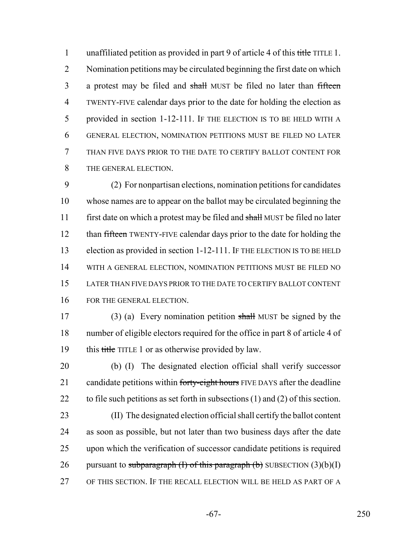1 unaffiliated petition as provided in part 9 of article 4 of this title TITLE 1. Nomination petitions may be circulated beginning the first date on which 3 a protest may be filed and shall MUST be filed no later than fifteen TWENTY-FIVE calendar days prior to the date for holding the election as provided in section 1-12-111. IF THE ELECTION IS TO BE HELD WITH A GENERAL ELECTION, NOMINATION PETITIONS MUST BE FILED NO LATER THAN FIVE DAYS PRIOR TO THE DATE TO CERTIFY BALLOT CONTENT FOR THE GENERAL ELECTION.

 (2) For nonpartisan elections, nomination petitions for candidates whose names are to appear on the ballot may be circulated beginning the 11 first date on which a protest may be filed and shall MUST be filed no later 12 than fifteen TWENTY-FIVE calendar days prior to the date for holding the 13 election as provided in section 1-12-111. IF THE ELECTION IS TO BE HELD WITH A GENERAL ELECTION, NOMINATION PETITIONS MUST BE FILED NO LATER THAN FIVE DAYS PRIOR TO THE DATE TO CERTIFY BALLOT CONTENT FOR THE GENERAL ELECTION.

17 (3) (a) Every nomination petition shall MUST be signed by the number of eligible electors required for the office in part 8 of article 4 of 19 this title TITLE 1 or as otherwise provided by law.

 (b) (I) The designated election official shall verify successor 21 candidate petitions within forty-eight hours FIVE DAYS after the deadline to file such petitions as set forth in subsections (1) and (2) of this section.

 (II) The designated election official shall certify the ballot content as soon as possible, but not later than two business days after the date upon which the verification of successor candidate petitions is required 26 pursuant to subparagraph  $(I)$  of this paragraph  $(b)$  SUBSECTION  $(3)(b)(I)$ OF THIS SECTION. IF THE RECALL ELECTION WILL BE HELD AS PART OF A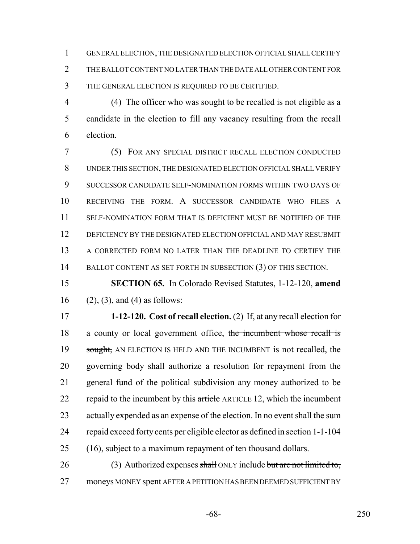GENERAL ELECTION, THE DESIGNATED ELECTION OFFICIAL SHALL CERTIFY THE BALLOT CONTENT NO LATER THAN THE DATE ALL OTHER CONTENT FOR THE GENERAL ELECTION IS REQUIRED TO BE CERTIFIED.

 (4) The officer who was sought to be recalled is not eligible as a candidate in the election to fill any vacancy resulting from the recall election.

 (5) FOR ANY SPECIAL DISTRICT RECALL ELECTION CONDUCTED UNDER THIS SECTION, THE DESIGNATED ELECTION OFFICIAL SHALL VERIFY SUCCESSOR CANDIDATE SELF-NOMINATION FORMS WITHIN TWO DAYS OF RECEIVING THE FORM. A SUCCESSOR CANDIDATE WHO FILES A SELF-NOMINATION FORM THAT IS DEFICIENT MUST BE NOTIFIED OF THE DEFICIENCY BY THE DESIGNATED ELECTION OFFICIAL AND MAY RESUBMIT A CORRECTED FORM NO LATER THAN THE DEADLINE TO CERTIFY THE 14 BALLOT CONTENT AS SET FORTH IN SUBSECTION (3) OF THIS SECTION.

 **SECTION 65.** In Colorado Revised Statutes, 1-12-120, **amend** 16 (2), (3), and (4) as follows:

 **1-12-120. Cost of recall election.** (2) If, at any recall election for 18 a county or local government office, the incumbent whose recall is 19 sought, AN ELECTION IS HELD AND THE INCUMBENT is not recalled, the governing body shall authorize a resolution for repayment from the general fund of the political subdivision any money authorized to be 22 repaid to the incumbent by this article ARTICLE 12, which the incumbent actually expended as an expense of the election. In no event shall the sum repaid exceed forty cents per eligible elector as defined in section 1-1-104 (16), subject to a maximum repayment of ten thousand dollars.

26 (3) Authorized expenses shall ONLY include but are not limited to, 27 moneys MONEY spent AFTER A PETITION HAS BEEN DEEMED SUFFICIENT BY

-68- 250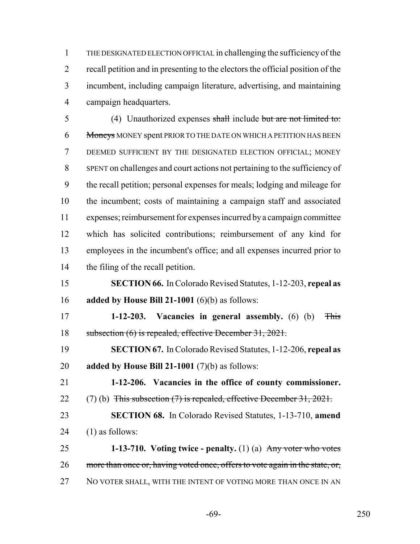THE DESIGNATED ELECTION OFFICIAL in challenging the sufficiency of the recall petition and in presenting to the electors the official position of the incumbent, including campaign literature, advertising, and maintaining campaign headquarters.

 (4) Unauthorized expenses shall include but are not limited to: 6 Moneys MONEY spent PRIOR TO THE DATE ON WHICH A PETITION HAS BEEN DEEMED SUFFICIENT BY THE DESIGNATED ELECTION OFFICIAL; MONEY SPENT on challenges and court actions not pertaining to the sufficiency of the recall petition; personal expenses for meals; lodging and mileage for the incumbent; costs of maintaining a campaign staff and associated expenses; reimbursement for expenses incurred by a campaign committee which has solicited contributions; reimbursement of any kind for employees in the incumbent's office; and all expenses incurred prior to the filing of the recall petition.

 **SECTION 66.** In Colorado Revised Statutes, 1-12-203, **repeal as added by House Bill 21-1001** (6)(b) as follows:

 **1-12-203. Vacancies in general assembly.** (6) (b) This subsection (6) is repealed, effective December 31, 2021.

 **SECTION 67.** In Colorado Revised Statutes, 1-12-206, **repeal as added by House Bill 21-1001** (7)(b) as follows:

 **1-12-206. Vacancies in the office of county commissioner.** 22 (7) (b) This subsection (7) is repealed, effective December 31, 2021.

 **SECTION 68.** In Colorado Revised Statutes, 1-13-710, **amend** 24  $(1)$  as follows:

 **1-13-710. Voting twice - penalty.** (1) (a) Any voter who votes 26 more than once or, having voted once, offers to vote again in the state, or, 27 NO VOTER SHALL, WITH THE INTENT OF VOTING MORE THAN ONCE IN AN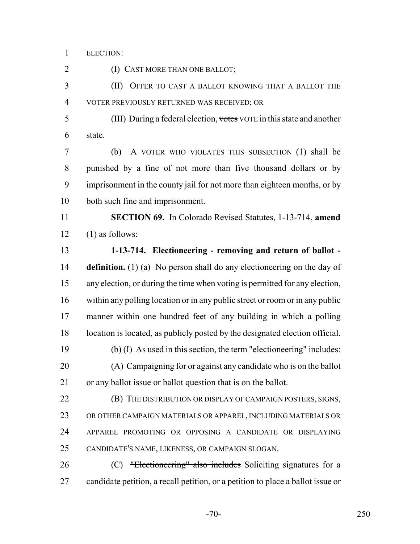ELECTION:

2 (I) CAST MORE THAN ONE BALLOT; (II) OFFER TO CAST A BALLOT KNOWING THAT A BALLOT THE VOTER PREVIOUSLY RETURNED WAS RECEIVED; OR (III) During a federal election, votes VOTE in this state and another state. (b) A VOTER WHO VIOLATES THIS SUBSECTION (1) shall be punished by a fine of not more than five thousand dollars or by imprisonment in the county jail for not more than eighteen months, or by both such fine and imprisonment. **SECTION 69.** In Colorado Revised Statutes, 1-13-714, **amend**  $12 \qquad (1)$  as follows: **1-13-714. Electioneering - removing and return of ballot - definition.** (1) (a) No person shall do any electioneering on the day of any election, or during the time when voting is permitted for any election, within any polling location or in any public street or room or in any public manner within one hundred feet of any building in which a polling location is located, as publicly posted by the designated election official. (b) (I) As used in this section, the term "electioneering" includes: (A) Campaigning for or against any candidate who is on the ballot or any ballot issue or ballot question that is on the ballot. **(B)** THE DISTRIBUTION OR DISPLAY OF CAMPAIGN POSTERS, SIGNS, OR OTHER CAMPAIGN MATERIALS OR APPAREL, INCLUDING MATERIALS OR APPAREL PROMOTING OR OPPOSING A CANDIDATE OR DISPLAYING CANDIDATE'S NAME, LIKENESS, OR CAMPAIGN SLOGAN. (C) "Electioneering" also includes Soliciting signatures for a candidate petition, a recall petition, or a petition to place a ballot issue or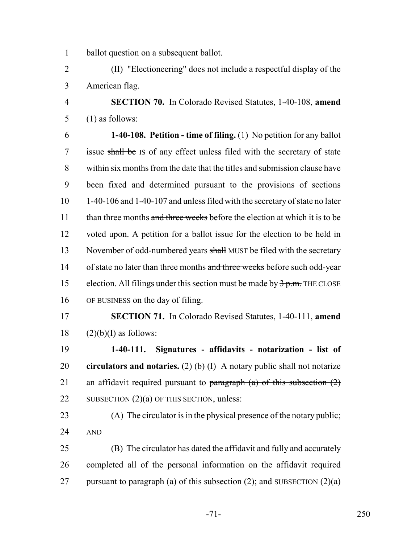ballot question on a subsequent ballot.

 (II) "Electioneering" does not include a respectful display of the American flag.

 **SECTION 70.** In Colorado Revised Statutes, 1-40-108, **amend** (1) as follows:

 **1-40-108. Petition - time of filing.** (1) No petition for any ballot 7 issue shall be IS of any effect unless filed with the secretary of state within six months from the date that the titles and submission clause have been fixed and determined pursuant to the provisions of sections 1-40-106 and 1-40-107 and unless filed with the secretary of state no later 11 than three months and three weeks before the election at which it is to be voted upon. A petition for a ballot issue for the election to be held in 13 November of odd-numbered years shall MUST be filed with the secretary 14 of state no later than three months and three weeks before such odd-year 15 election. All filings under this section must be made by  $\frac{3}{2}$  p.m. THE CLOSE OF BUSINESS on the day of filing.

 **SECTION 71.** In Colorado Revised Statutes, 1-40-111, **amend** (2)(b)(I) as follows:

 **1-40-111. Signatures - affidavits - notarization - list of circulators and notaries.** (2) (b) (I) A notary public shall not notarize 21 an affidavit required pursuant to paragraph  $(a)$  of this subsection  $(2)$ 22 SUBSECTION (2)(a) OF THIS SECTION, unless:

 (A) The circulator is in the physical presence of the notary public; AND

 (B) The circulator has dated the affidavit and fully and accurately completed all of the personal information on the affidavit required 27 pursuant to paragraph (a) of this subsection  $(2)$ ; and SUBSECTION  $(2)(a)$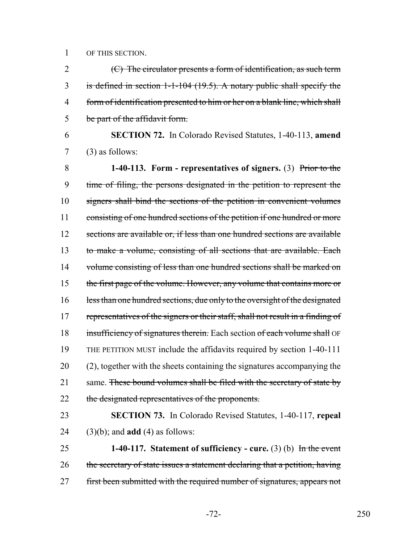1 OF THIS SECTION.

 $(C)$  The circulator presents a form of identification, as such term is defined in section 1-1-104 (19.5). A notary public shall specify the form of identification presented to him or her on a blank line, which shall be part of the affidavit form.

6 **SECTION 72.** In Colorado Revised Statutes, 1-40-113, **amend** 7 (3) as follows:

8 **1-40-113. Form - representatives of signers.** (3) Prior to the 9 time of filing, the persons designated in the petition to represent the 10 signers shall bind the sections of the petition in convenient volumes 11 consisting of one hundred sections of the petition if one hundred or more 12 sections are available or, if less than one hundred sections are available 13 to make a volume, consisting of all sections that are available. Each 14 volume consisting of less than one hundred sections shall be marked on 15 the first page of the volume. However, any volume that contains more or 16 less than one hundred sections, due only to the oversight of the designated 17 representatives of the signers or their staff, shall not result in a finding of 18 insufficiency of signatures therein. Each section of each volume shall OF 19 THE PETITION MUST include the affidavits required by section 1-40-111 20 (2), together with the sheets containing the signatures accompanying the 21 same. These bound volumes shall be filed with the secretary of state by 22 the designated representatives of the proponents.

23 **SECTION 73.** In Colorado Revised Statutes, 1-40-117, **repeal** 24 (3)(b); and **add** (4) as follows:

25 **1-40-117. Statement of sufficiency - cure.** (3) (b) In the event 26 the secretary of state issues a statement declaring that a petition, having 27 first been submitted with the required number of signatures, appears not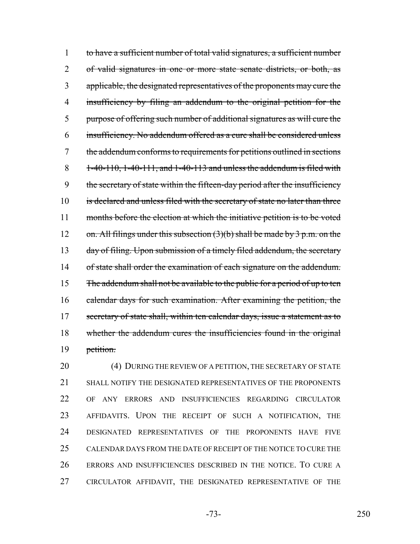1 to have a sufficient number of total valid signatures, a sufficient number 2 of valid signatures in one or more state senate districts, or both, as 3 applicable, the designated representatives of the proponents may cure the 4 insufficiency by filing an addendum to the original petition for the 5 purpose of offering such number of additional signatures as will cure the 6 insufficiency. No addendum offered as a cure shall be considered unless 7 the addendum conforms to requirements for petitions outlined in sections  $8 = 1-40-110$ ,  $1-40-111$ , and  $1-40-113$  and unless the addendum is filed with 9 the secretary of state within the fifteen-day period after the insufficiency 10 is declared and unless filed with the secretary of state no later than three 11 months before the election at which the initiative petition is to be voted 12 on. All filings under this subsection  $(3)(b)$  shall be made by 3 p.m. on the 13 day of filing. Upon submission of a timely filed addendum, the secretary 14 of state shall order the examination of each signature on the addendum. 15 The addendum shall not be available to the public for a period of up to ten 16 calendar days for such examination. After examining the petition, the 17 secretary of state shall, within ten calendar days, issue a statement as to 18 whether the addendum cures the insufficiencies found in the original 19 petition.

20 (4) DURING THE REVIEW OF A PETITION, THE SECRETARY OF STATE 21 SHALL NOTIFY THE DESIGNATED REPRESENTATIVES OF THE PROPONENTS OF ANY ERRORS AND INSUFFICIENCIES REGARDING CIRCULATOR AFFIDAVITS. UPON THE RECEIPT OF SUCH A NOTIFICATION, THE DESIGNATED REPRESENTATIVES OF THE PROPONENTS HAVE FIVE CALENDAR DAYS FROM THE DATE OF RECEIPT OF THE NOTICE TO CURE THE ERRORS AND INSUFFICIENCIES DESCRIBED IN THE NOTICE. TO CURE A CIRCULATOR AFFIDAVIT, THE DESIGNATED REPRESENTATIVE OF THE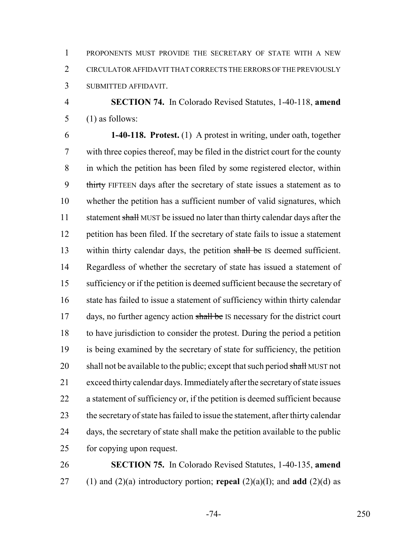PROPONENTS MUST PROVIDE THE SECRETARY OF STATE WITH A NEW CIRCULATOR AFFIDAVIT THAT CORRECTS THE ERRORS OF THE PREVIOUSLY SUBMITTED AFFIDAVIT.

 **SECTION 74.** In Colorado Revised Statutes, 1-40-118, **amend** (1) as follows:

 **1-40-118. Protest.** (1) A protest in writing, under oath, together with three copies thereof, may be filed in the district court for the county in which the petition has been filed by some registered elector, within 9 thirty FIFTEEN days after the secretary of state issues a statement as to whether the petition has a sufficient number of valid signatures, which 11 statement shall MUST be issued no later than thirty calendar days after the petition has been filed. If the secretary of state fails to issue a statement 13 within thirty calendar days, the petition shall be IS deemed sufficient. Regardless of whether the secretary of state has issued a statement of sufficiency or if the petition is deemed sufficient because the secretary of 16 state has failed to issue a statement of sufficiency within thirty calendar 17 days, no further agency action shall be IS necessary for the district court to have jurisdiction to consider the protest. During the period a petition is being examined by the secretary of state for sufficiency, the petition 20 shall not be available to the public; except that such period shall MUST not exceed thirty calendar days. Immediately after the secretary of state issues a statement of sufficiency or, if the petition is deemed sufficient because the secretary of state has failed to issue the statement, after thirty calendar days, the secretary of state shall make the petition available to the public for copying upon request.

 **SECTION 75.** In Colorado Revised Statutes, 1-40-135, **amend** 27 (1) and (2)(a) introductory portion; **repeal** (2)(a)(I); and **add** (2)(d) as

-74- 250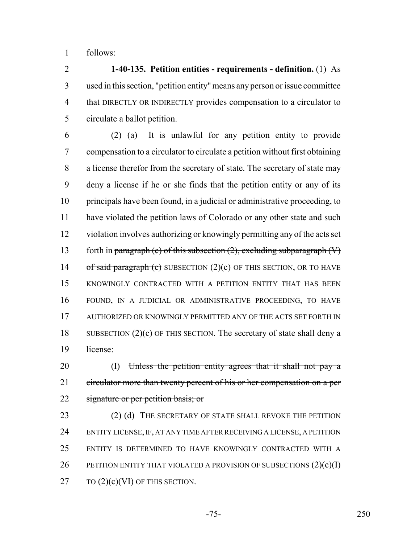follows:

 **1-40-135. Petition entities - requirements - definition.** (1) As used in this section, "petition entity" means any person or issue committee that DIRECTLY OR INDIRECTLY provides compensation to a circulator to circulate a ballot petition.

 (2) (a) It is unlawful for any petition entity to provide compensation to a circulator to circulate a petition without first obtaining a license therefor from the secretary of state. The secretary of state may deny a license if he or she finds that the petition entity or any of its principals have been found, in a judicial or administrative proceeding, to have violated the petition laws of Colorado or any other state and such violation involves authorizing or knowingly permitting any of the acts set 13 forth in paragraph (c) of this subsection  $(2)$ , excluding subparagraph  $(V)$ 14 of said paragraph  $(c)$  SUBSECTION  $(2)(c)$  OF THIS SECTION, OR TO HAVE KNOWINGLY CONTRACTED WITH A PETITION ENTITY THAT HAS BEEN FOUND, IN A JUDICIAL OR ADMINISTRATIVE PROCEEDING, TO HAVE 17 AUTHORIZED OR KNOWINGLY PERMITTED ANY OF THE ACTS SET FORTH IN 18 SUBSECTION  $(2)(c)$  OF THIS SECTION. The secretary of state shall deny a license:

20 (I) Unless the petition entity agrees that it shall not pay a 21 circulator more than twenty percent of his or her compensation on a per 22 signature or per petition basis; or

23 (2) (d) THE SECRETARY OF STATE SHALL REVOKE THE PETITION ENTITY LICENSE, IF, AT ANY TIME AFTER RECEIVING A LICENSE, A PETITION ENTITY IS DETERMINED TO HAVE KNOWINGLY CONTRACTED WITH A 26 PETITION ENTITY THAT VIOLATED A PROVISION OF SUBSECTIONS  $(2)(c)(I)$ 27  $TO (2)(c)(VI)$  OF THIS SECTION.

-75- 250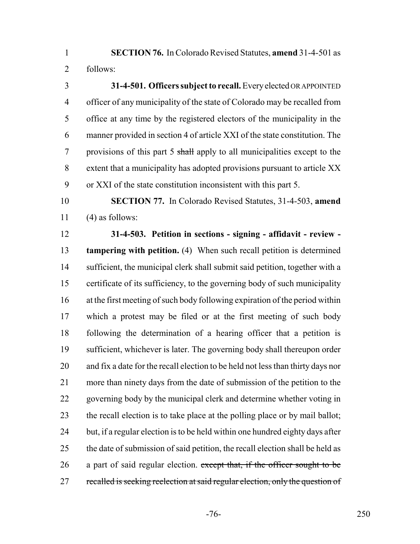**SECTION 76.** In Colorado Revised Statutes, **amend** 31-4-501 as follows:

 **31-4-501. Officers subject to recall.** Every elected OR APPOINTED officer of any municipality of the state of Colorado may be recalled from office at any time by the registered electors of the municipality in the manner provided in section 4 of article XXI of the state constitution. The 7 provisions of this part 5 shall apply to all municipalities except to the extent that a municipality has adopted provisions pursuant to article XX or XXI of the state constitution inconsistent with this part 5.

 **SECTION 77.** In Colorado Revised Statutes, 31-4-503, **amend** (4) as follows:

 **31-4-503. Petition in sections - signing - affidavit - review - tampering with petition.** (4) When such recall petition is determined 14 sufficient, the municipal clerk shall submit said petition, together with a certificate of its sufficiency, to the governing body of such municipality at the first meeting of such body following expiration of the period within which a protest may be filed or at the first meeting of such body following the determination of a hearing officer that a petition is sufficient, whichever is later. The governing body shall thereupon order and fix a date for the recall election to be held not less than thirty days nor more than ninety days from the date of submission of the petition to the governing body by the municipal clerk and determine whether voting in the recall election is to take place at the polling place or by mail ballot; 24 but, if a regular election is to be held within one hundred eighty days after 25 the date of submission of said petition, the recall election shall be held as 26 a part of said regular election. except that, if the officer sought to be 27 recalled is seeking reelection at said regular election, only the question of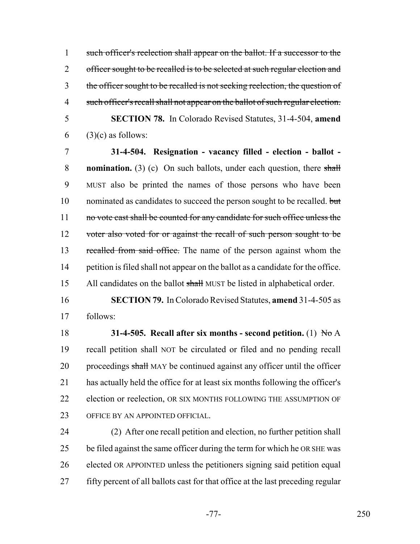1 such officer's reelection shall appear on the ballot. If a successor to the 2 officer sought to be recalled is to be selected at such regular election and 3 the officer sought to be recalled is not seeking reelection, the question of 4 such officer's recall shall not appear on the ballot of such regular election. 5 **SECTION 78.** In Colorado Revised Statutes, 31-4-504, **amend**

6 (3)(c) as follows:

7 **31-4-504. Resignation - vacancy filled - election - ballot -** 8 **nomination.** (3) (c) On such ballots, under each question, there shall 9 MUST also be printed the names of those persons who have been 10 nominated as candidates to succeed the person sought to be recalled. but 11 no vote cast shall be counted for any candidate for such office unless the 12 voter also voted for or against the recall of such person sought to be 13 recalled from said office. The name of the person against whom the 14 petition is filed shall not appear on the ballot as a candidate for the office. 15 All candidates on the ballot shall MUST be listed in alphabetical order.

16 **SECTION 79.** In Colorado Revised Statutes, **amend** 31-4-505 as 17 follows:

18 **31-4-505. Recall after six months - second petition.** (1) No A 19 recall petition shall NOT be circulated or filed and no pending recall 20 proceedings shall MAY be continued against any officer until the officer 21 has actually held the office for at least six months following the officer's 22 election or reelection, OR SIX MONTHS FOLLOWING THE ASSUMPTION OF 23 OFFICE BY AN APPOINTED OFFICIAL.

 (2) After one recall petition and election, no further petition shall be filed against the same officer during the term for which he OR SHE was elected OR APPOINTED unless the petitioners signing said petition equal fifty percent of all ballots cast for that office at the last preceding regular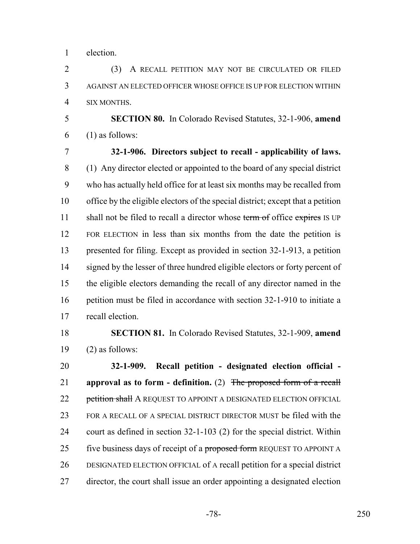election.

 (3) A RECALL PETITION MAY NOT BE CIRCULATED OR FILED AGAINST AN ELECTED OFFICER WHOSE OFFICE IS UP FOR ELECTION WITHIN SIX MONTHS.

 **SECTION 80.** In Colorado Revised Statutes, 32-1-906, **amend** (1) as follows:

 **32-1-906. Directors subject to recall - applicability of laws.** (1) Any director elected or appointed to the board of any special district who has actually held office for at least six months may be recalled from office by the eligible electors of the special district; except that a petition 11 shall not be filed to recall a director whose term of office expires IS UP FOR ELECTION in less than six months from the date the petition is presented for filing. Except as provided in section 32-1-913, a petition 14 signed by the lesser of three hundred eligible electors or forty percent of the eligible electors demanding the recall of any director named in the petition must be filed in accordance with section 32-1-910 to initiate a recall election.

 **SECTION 81.** In Colorado Revised Statutes, 32-1-909, **amend** 19  $(2)$  as follows:

 **32-1-909. Recall petition - designated election official - approval as to form - definition.** (2) The proposed form of a recall 22 petition shall A REQUEST TO APPOINT A DESIGNATED ELECTION OFFICIAL FOR A RECALL OF A SPECIAL DISTRICT DIRECTOR MUST be filed with the court as defined in section 32-1-103 (2) for the special district. Within 25 five business days of receipt of a proposed form REQUEST TO APPOINT A DESIGNATED ELECTION OFFICIAL of A recall petition for a special district director, the court shall issue an order appointing a designated election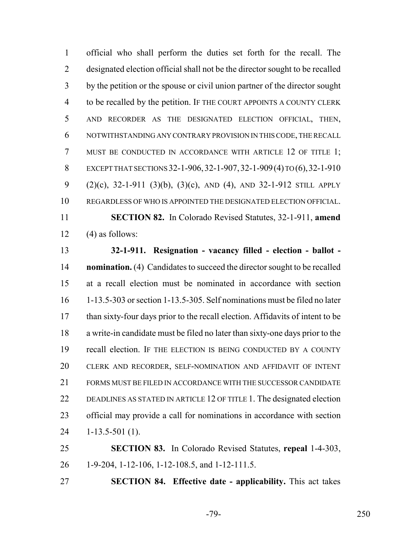official who shall perform the duties set forth for the recall. The designated election official shall not be the director sought to be recalled by the petition or the spouse or civil union partner of the director sought to be recalled by the petition. IF THE COURT APPOINTS A COUNTY CLERK AND RECORDER AS THE DESIGNATED ELECTION OFFICIAL, THEN, NOTWITHSTANDING ANY CONTRARY PROVISION IN THIS CODE, THE RECALL 7 MUST BE CONDUCTED IN ACCORDANCE WITH ARTICLE 12 OF TITLE 1; EXCEPT THAT SECTIONS 32-1-906,32-1-907,32-1-909(4) TO (6),32-1-910 (2)(c), 32-1-911 (3)(b), (3)(c), AND (4), AND 32-1-912 STILL APPLY REGARDLESS OF WHO IS APPOINTED THE DESIGNATED ELECTION OFFICIAL. **SECTION 82.** In Colorado Revised Statutes, 32-1-911, **amend**  $(4)$  as follows:

 **32-1-911. Resignation - vacancy filled - election - ballot - nomination.** (4) Candidates to succeed the director sought to be recalled at a recall election must be nominated in accordance with section 1-13.5-303 or section 1-13.5-305. Self nominations must be filed no later than sixty-four days prior to the recall election. Affidavits of intent to be a write-in candidate must be filed no later than sixty-one days prior to the recall election. IF THE ELECTION IS BEING CONDUCTED BY A COUNTY CLERK AND RECORDER, SELF-NOMINATION AND AFFIDAVIT OF INTENT FORMS MUST BE FILED IN ACCORDANCE WITH THE SUCCESSOR CANDIDATE DEADLINES AS STATED IN ARTICLE 12 OF TITLE 1. The designated election official may provide a call for nominations in accordance with section 1-13.5-501 (1).

 **SECTION 83.** In Colorado Revised Statutes, **repeal** 1-4-303, 1-9-204, 1-12-106, 1-12-108.5, and 1-12-111.5.

**SECTION 84. Effective date - applicability.** This act takes

-79- 250